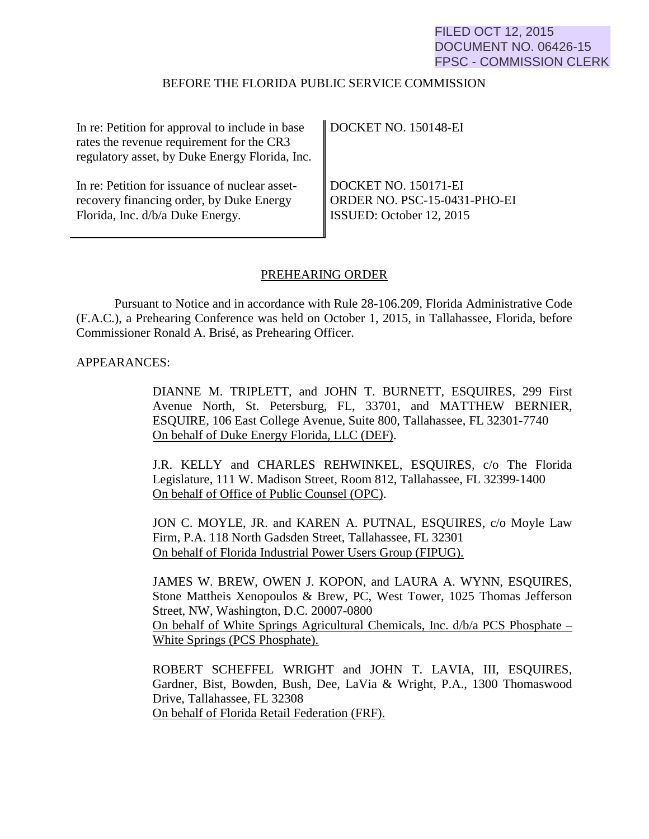## FILED OCT 12, 2015 DOCUMENT NO. 06426-15 FPSC - COMMISSION CLERK

#### BEFORE THE FLORIDA PUBLIC SERVICE COMMISSION

| In re: Petition for approval to include in base | $\parallel$ DOCKET NO. 150148-EI |
|-------------------------------------------------|----------------------------------|
| rates the revenue requirement for the CR3       |                                  |
| regulatory asset, by Duke Energy Florida, Inc.  |                                  |
|                                                 |                                  |
| In re: Petition for issuance of nuclear asset-  | DOCKET NO. 150171-EI             |
| recovery financing order, by Duke Energy        | ORDER NO. PSC-15-0431-PHO-EI     |
| Florida, Inc. d/b/a Duke Energy.                | ISSUED: October 12, 2015         |
|                                                 |                                  |

#### PREHEARING ORDER

Pursuant to Notice and in accordance with Rule 28-106.209, Florida Administrative Code (F.A.C.), a Prehearing Conference was held on October 1, 2015, in Tallahassee, Florida, before Commissioner Ronald A. Brisé, as Prehearing Officer.

#### APPEARANCES:

DIANNE M. TRIPLETT, and JOHN T. BURNETT, ESQUIRES, 299 First Avenue North, St. Petersburg, FL, 33701, and MATTHEW BERNIER, ESQUIRE, 106 East College Avenue, Suite 800, Tallahassee, FL 32301-7740 On behalf of Duke Energy Florida, LLC (DEF).

J.R. KELLY and CHARLES REHWINKEL, ESQUIRES, c/o The Florida Legislature, 111 W. Madison Street, Room 812, Tallahassee, FL 32399-1400 On behalf of Office of Public Counsel (OPC).

JON C. MOYLE, JR. and KAREN A. PUTNAL, ESQUIRES, c/o Moyle Law Firm, P.A. 118 North Gadsden Street, Tallahassee, FL 32301 On behalf of Florida Industrial Power Users Group (FIPUG).

JAMES W. BREW, OWEN J. KOPON, and LAURA A. WYNN, ESQUIRES, Stone Mattheis Xenopoulos & Brew, PC, West Tower, 1025 Thomas Jefferson Street, NW, Washington, D.C. 20007-0800 On behalf of White Springs Agricultural Chemicals, Inc. d/b/a PCS Phosphate – White Springs (PCS Phosphate).

ROBERT SCHEFFEL WRIGHT and JOHN T. LAVIA, III, ESQUIRES, Gardner, Bist, Bowden, Bush, Dee, LaVia & Wright, P.A., 1300 Thomaswood Drive, Tallahassee, FL 32308 On behalf of Florida Retail Federation (FRF).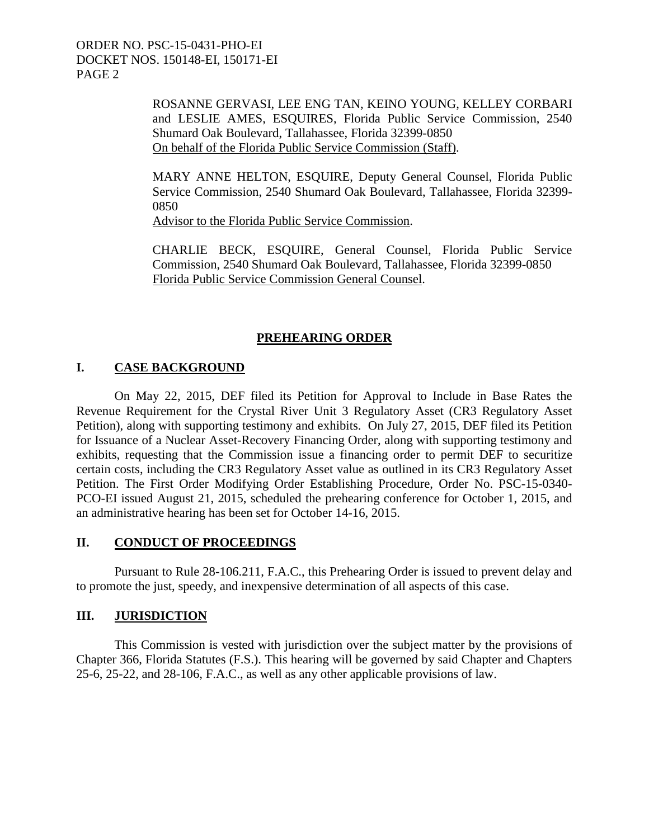> ROSANNE GERVASI, LEE ENG TAN, KEINO YOUNG, KELLEY CORBARI and LESLIE AMES, ESQUIRES, Florida Public Service Commission, 2540 Shumard Oak Boulevard, Tallahassee, Florida 32399-0850 On behalf of the Florida Public Service Commission (Staff).

> MARY ANNE HELTON, ESQUIRE, Deputy General Counsel, Florida Public Service Commission, 2540 Shumard Oak Boulevard, Tallahassee, Florida 32399- 0850

Advisor to the Florida Public Service Commission.

CHARLIE BECK, ESQUIRE, General Counsel, Florida Public Service Commission, 2540 Shumard Oak Boulevard, Tallahassee, Florida 32399-0850 Florida Public Service Commission General Counsel.

## **PREHEARING ORDER**

## **I. CASE BACKGROUND**

 On May 22, 2015, DEF filed its Petition for Approval to Include in Base Rates the Revenue Requirement for the Crystal River Unit 3 Regulatory Asset (CR3 Regulatory Asset Petition), along with supporting testimony and exhibits. On July 27, 2015, DEF filed its Petition for Issuance of a Nuclear Asset-Recovery Financing Order, along with supporting testimony and exhibits, requesting that the Commission issue a financing order to permit DEF to securitize certain costs, including the CR3 Regulatory Asset value as outlined in its CR3 Regulatory Asset Petition. The First Order Modifying Order Establishing Procedure, Order No. PSC-15-0340- PCO-EI issued August 21, 2015, scheduled the prehearing conference for October 1, 2015, and an administrative hearing has been set for October 14-16, 2015.

## **II. CONDUCT OF PROCEEDINGS**

 Pursuant to Rule 28-106.211, F.A.C., this Prehearing Order is issued to prevent delay and to promote the just, speedy, and inexpensive determination of all aspects of this case.

## **III. JURISDICTION**

 This Commission is vested with jurisdiction over the subject matter by the provisions of Chapter 366, Florida Statutes (F.S.). This hearing will be governed by said Chapter and Chapters 25-6, 25-22, and 28-106, F.A.C., as well as any other applicable provisions of law.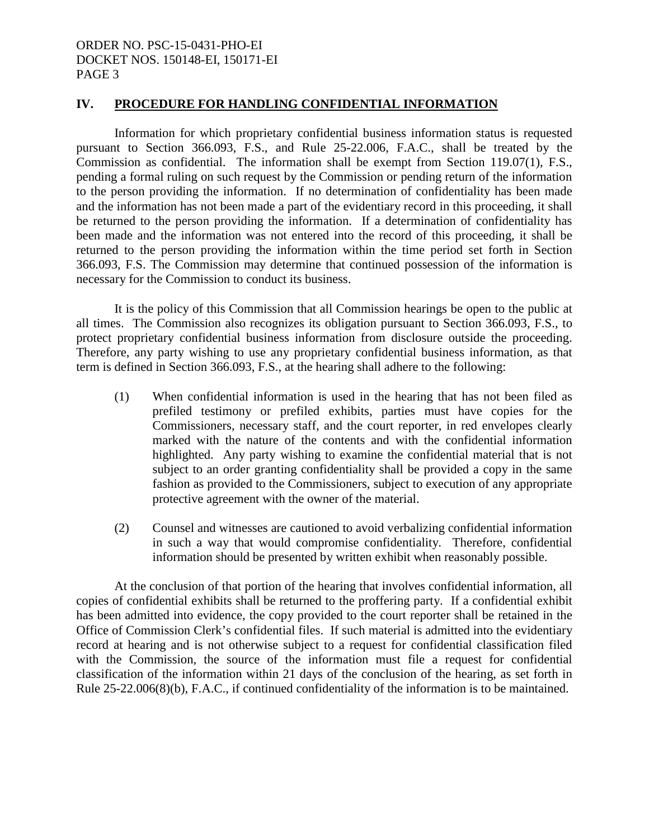#### **IV. PROCEDURE FOR HANDLING CONFIDENTIAL INFORMATION**

 Information for which proprietary confidential business information status is requested pursuant to Section 366.093, F.S., and Rule 25-22.006, F.A.C., shall be treated by the Commission as confidential. The information shall be exempt from Section 119.07(1), F.S., pending a formal ruling on such request by the Commission or pending return of the information to the person providing the information. If no determination of confidentiality has been made and the information has not been made a part of the evidentiary record in this proceeding, it shall be returned to the person providing the information. If a determination of confidentiality has been made and the information was not entered into the record of this proceeding, it shall be returned to the person providing the information within the time period set forth in Section 366.093, F.S. The Commission may determine that continued possession of the information is necessary for the Commission to conduct its business.

 It is the policy of this Commission that all Commission hearings be open to the public at all times. The Commission also recognizes its obligation pursuant to Section 366.093, F.S., to protect proprietary confidential business information from disclosure outside the proceeding. Therefore, any party wishing to use any proprietary confidential business information, as that term is defined in Section 366.093, F.S., at the hearing shall adhere to the following:

- (1) When confidential information is used in the hearing that has not been filed as prefiled testimony or prefiled exhibits, parties must have copies for the Commissioners, necessary staff, and the court reporter, in red envelopes clearly marked with the nature of the contents and with the confidential information highlighted. Any party wishing to examine the confidential material that is not subject to an order granting confidentiality shall be provided a copy in the same fashion as provided to the Commissioners, subject to execution of any appropriate protective agreement with the owner of the material.
- (2) Counsel and witnesses are cautioned to avoid verbalizing confidential information in such a way that would compromise confidentiality. Therefore, confidential information should be presented by written exhibit when reasonably possible.

 At the conclusion of that portion of the hearing that involves confidential information, all copies of confidential exhibits shall be returned to the proffering party. If a confidential exhibit has been admitted into evidence, the copy provided to the court reporter shall be retained in the Office of Commission Clerk's confidential files. If such material is admitted into the evidentiary record at hearing and is not otherwise subject to a request for confidential classification filed with the Commission, the source of the information must file a request for confidential classification of the information within 21 days of the conclusion of the hearing, as set forth in Rule 25-22.006(8)(b), F.A.C., if continued confidentiality of the information is to be maintained.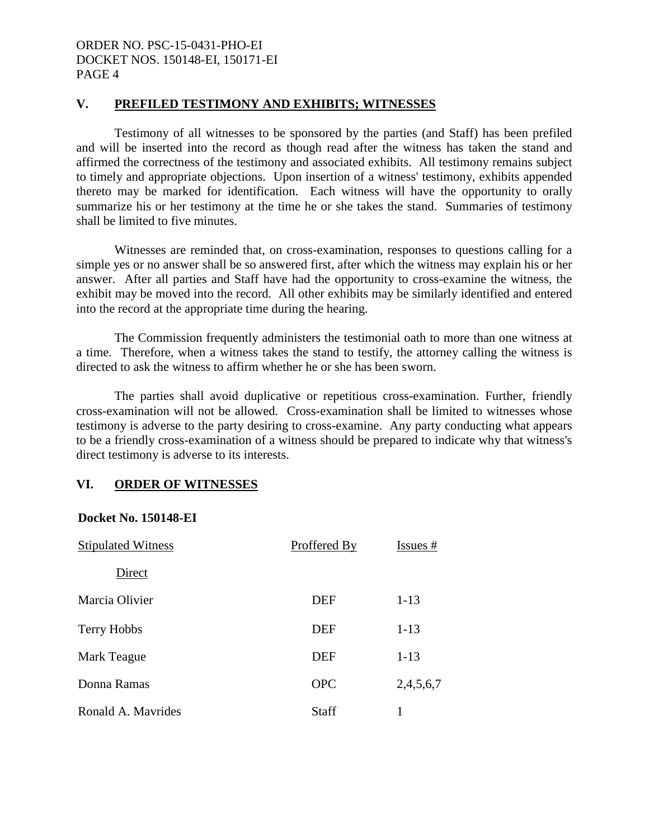#### **V. PREFILED TESTIMONY AND EXHIBITS; WITNESSES**

 Testimony of all witnesses to be sponsored by the parties (and Staff) has been prefiled and will be inserted into the record as though read after the witness has taken the stand and affirmed the correctness of the testimony and associated exhibits. All testimony remains subject to timely and appropriate objections. Upon insertion of a witness' testimony, exhibits appended thereto may be marked for identification. Each witness will have the opportunity to orally summarize his or her testimony at the time he or she takes the stand. Summaries of testimony shall be limited to five minutes.

Witnesses are reminded that, on cross-examination, responses to questions calling for a simple yes or no answer shall be so answered first, after which the witness may explain his or her answer. After all parties and Staff have had the opportunity to cross-examine the witness, the exhibit may be moved into the record. All other exhibits may be similarly identified and entered into the record at the appropriate time during the hearing.

 The Commission frequently administers the testimonial oath to more than one witness at a time. Therefore, when a witness takes the stand to testify, the attorney calling the witness is directed to ask the witness to affirm whether he or she has been sworn.

The parties shall avoid duplicative or repetitious cross-examination. Further, friendly cross-examination will not be allowed. Cross-examination shall be limited to witnesses whose testimony is adverse to the party desiring to cross-examine. Any party conducting what appears to be a friendly cross-examination of a witness should be prepared to indicate why that witness's direct testimony is adverse to its interests.

#### **VI. ORDER OF WITNESSES**

#### **Docket No. 150148-EI**

| <b>Stipulated Witness</b> | Proffered By | Issues #  |
|---------------------------|--------------|-----------|
| Direct                    |              |           |
| Marcia Olivier            | <b>DEF</b>   | $1 - 13$  |
| Terry Hobbs               | <b>DEF</b>   | $1 - 13$  |
| Mark Teague               | <b>DEF</b>   | $1 - 13$  |
| Donna Ramas               | <b>OPC</b>   | 2,4,5,6,7 |
| Ronald A. Mayrides        | Staff        |           |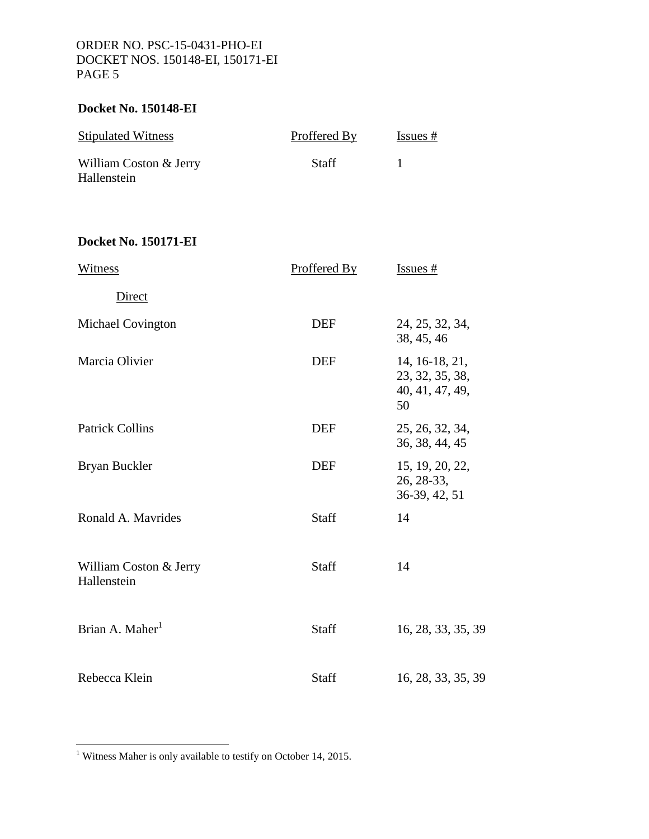## **Docket No. 150148-EI**

| <b>Stipulated Witness</b>             | Proffered By | Issues # |
|---------------------------------------|--------------|----------|
| William Coston & Jerry<br>Hallenstein | <b>Staff</b> |          |

# **Docket No. 150171-EI**

| Witness                               | Proffered By | $Issues$ #                                                 |
|---------------------------------------|--------------|------------------------------------------------------------|
| Direct                                |              |                                                            |
| <b>Michael Covington</b>              | <b>DEF</b>   | 24, 25, 32, 34,<br>38, 45, 46                              |
| Marcia Olivier                        | <b>DEF</b>   | 14, 16-18, 21,<br>23, 32, 35, 38,<br>40, 41, 47, 49,<br>50 |
| <b>Patrick Collins</b>                | <b>DEF</b>   | 25, 26, 32, 34,<br>36, 38, 44, 45                          |
| Bryan Buckler                         | <b>DEF</b>   | 15, 19, 20, 22,<br>26, 28-33,<br>36-39, 42, 51             |
| Ronald A. Mavrides                    | Staff        | 14                                                         |
| William Coston & Jerry<br>Hallenstein | Staff        | 14                                                         |
| Brian A. Maher <sup>1</sup>           | Staff        | 16, 28, 33, 35, 39                                         |
| Rebecca Klein                         | Staff        | 16, 28, 33, 35, 39                                         |

1 Witness Maher is only available to testify on October 14, 2015.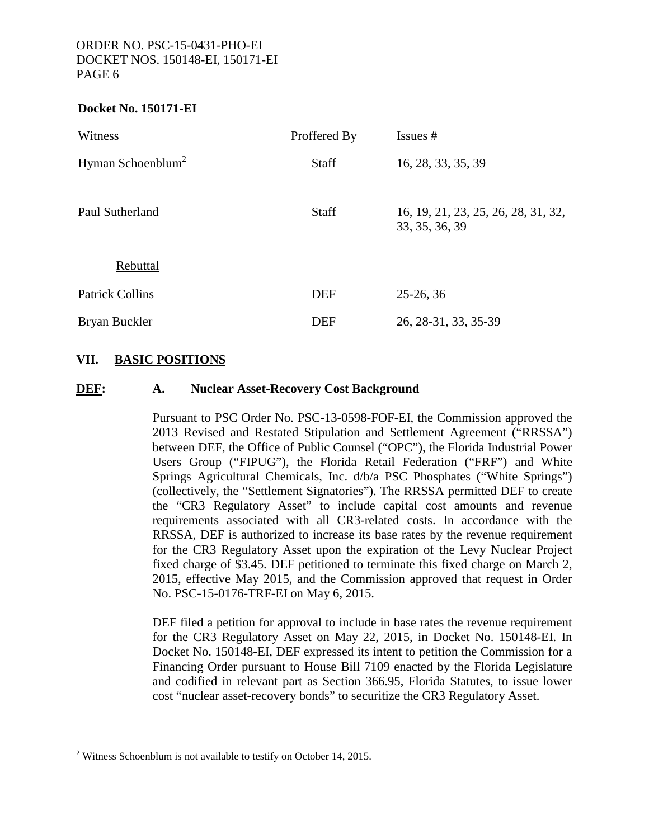#### **Docket No. 150171-EI**

| Witness                       | Proffered By | $Issues$ #                                            |
|-------------------------------|--------------|-------------------------------------------------------|
| Hyman Schoenblum <sup>2</sup> | <b>Staff</b> | 16, 28, 33, 35, 39                                    |
| Paul Sutherland               | <b>Staff</b> | 16, 19, 21, 23, 25, 26, 28, 31, 32,<br>33, 35, 36, 39 |
| Rebuttal                      |              |                                                       |
| <b>Patrick Collins</b>        | <b>DEF</b>   | $25-26, 36$                                           |
| Bryan Buckler                 | <b>DEF</b>   | 26, 28-31, 33, 35-39                                  |

## **VII. BASIC POSITIONS**

#### **DEF: A. Nuclear Asset-Recovery Cost Background**

 Pursuant to PSC Order No. PSC-13-0598-FOF-EI, the Commission approved the 2013 Revised and Restated Stipulation and Settlement Agreement ("RRSSA") between DEF, the Office of Public Counsel ("OPC"), the Florida Industrial Power Users Group ("FIPUG"), the Florida Retail Federation ("FRF") and White Springs Agricultural Chemicals, Inc. d/b/a PSC Phosphates ("White Springs") (collectively, the "Settlement Signatories"). The RRSSA permitted DEF to create the "CR3 Regulatory Asset" to include capital cost amounts and revenue requirements associated with all CR3-related costs. In accordance with the RRSSA, DEF is authorized to increase its base rates by the revenue requirement for the CR3 Regulatory Asset upon the expiration of the Levy Nuclear Project fixed charge of \$3.45. DEF petitioned to terminate this fixed charge on March 2, 2015, effective May 2015, and the Commission approved that request in Order No. PSC-15-0176-TRF-EI on May 6, 2015.

 DEF filed a petition for approval to include in base rates the revenue requirement for the CR3 Regulatory Asset on May 22, 2015, in Docket No. 150148-EI. In Docket No. 150148-EI, DEF expressed its intent to petition the Commission for a Financing Order pursuant to House Bill 7109 enacted by the Florida Legislature and codified in relevant part as Section 366.95, Florida Statutes, to issue lower cost "nuclear asset-recovery bonds" to securitize the CR3 Regulatory Asset.

 $\overline{a}$ 

<sup>&</sup>lt;sup>2</sup> Witness Schoenblum is not available to testify on October 14, 2015.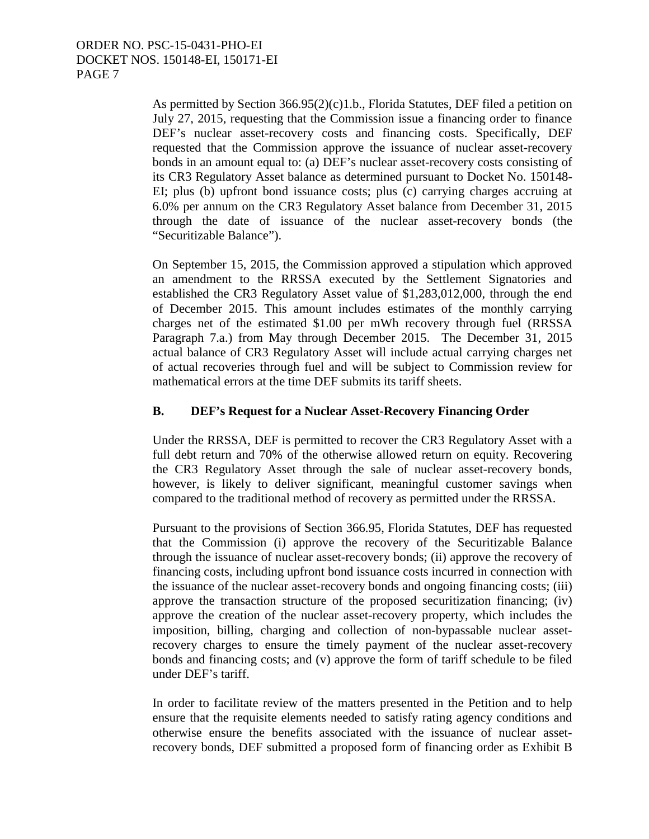As permitted by Section 366.95(2)(c)1.b., Florida Statutes, DEF filed a petition on July 27, 2015, requesting that the Commission issue a financing order to finance DEF's nuclear asset-recovery costs and financing costs. Specifically, DEF requested that the Commission approve the issuance of nuclear asset-recovery bonds in an amount equal to: (a) DEF's nuclear asset-recovery costs consisting of its CR3 Regulatory Asset balance as determined pursuant to Docket No. 150148- EI; plus (b) upfront bond issuance costs; plus (c) carrying charges accruing at 6.0% per annum on the CR3 Regulatory Asset balance from December 31, 2015 through the date of issuance of the nuclear asset-recovery bonds (the "Securitizable Balance").

 On September 15, 2015, the Commission approved a stipulation which approved an amendment to the RRSSA executed by the Settlement Signatories and established the CR3 Regulatory Asset value of \$1,283,012,000, through the end of December 2015. This amount includes estimates of the monthly carrying charges net of the estimated \$1.00 per mWh recovery through fuel (RRSSA Paragraph 7.a.) from May through December 2015. The December 31, 2015 actual balance of CR3 Regulatory Asset will include actual carrying charges net of actual recoveries through fuel and will be subject to Commission review for mathematical errors at the time DEF submits its tariff sheets.

## **B. DEF's Request for a Nuclear Asset-Recovery Financing Order**

Under the RRSSA, DEF is permitted to recover the CR3 Regulatory Asset with a full debt return and 70% of the otherwise allowed return on equity. Recovering the CR3 Regulatory Asset through the sale of nuclear asset-recovery bonds, however, is likely to deliver significant, meaningful customer savings when compared to the traditional method of recovery as permitted under the RRSSA.

Pursuant to the provisions of Section 366.95, Florida Statutes, DEF has requested that the Commission (i) approve the recovery of the Securitizable Balance through the issuance of nuclear asset-recovery bonds; (ii) approve the recovery of financing costs, including upfront bond issuance costs incurred in connection with the issuance of the nuclear asset-recovery bonds and ongoing financing costs; (iii) approve the transaction structure of the proposed securitization financing; (iv) approve the creation of the nuclear asset-recovery property, which includes the imposition, billing, charging and collection of non-bypassable nuclear assetrecovery charges to ensure the timely payment of the nuclear asset-recovery bonds and financing costs; and (v) approve the form of tariff schedule to be filed under DEF's tariff.

In order to facilitate review of the matters presented in the Petition and to help ensure that the requisite elements needed to satisfy rating agency conditions and otherwise ensure the benefits associated with the issuance of nuclear assetrecovery bonds, DEF submitted a proposed form of financing order as Exhibit B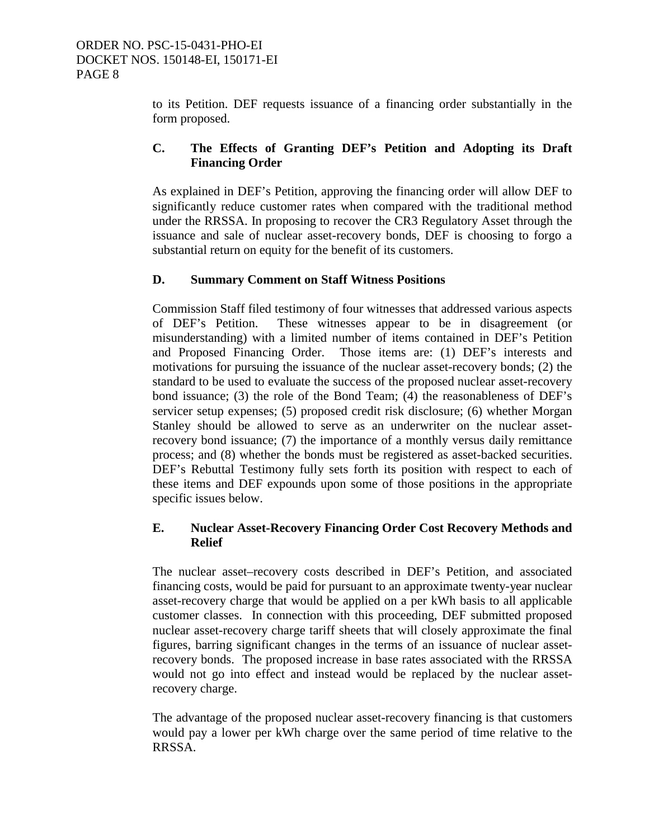to its Petition. DEF requests issuance of a financing order substantially in the form proposed.

## **C. The Effects of Granting DEF's Petition and Adopting its Draft Financing Order**

As explained in DEF's Petition, approving the financing order will allow DEF to significantly reduce customer rates when compared with the traditional method under the RRSSA. In proposing to recover the CR3 Regulatory Asset through the issuance and sale of nuclear asset-recovery bonds, DEF is choosing to forgo a substantial return on equity for the benefit of its customers.

## **D. Summary Comment on Staff Witness Positions**

 Commission Staff filed testimony of four witnesses that addressed various aspects of DEF's Petition. These witnesses appear to be in disagreement (or misunderstanding) with a limited number of items contained in DEF's Petition and Proposed Financing Order. Those items are: (1) DEF's interests and motivations for pursuing the issuance of the nuclear asset-recovery bonds; (2) the standard to be used to evaluate the success of the proposed nuclear asset-recovery bond issuance; (3) the role of the Bond Team; (4) the reasonableness of DEF's servicer setup expenses; (5) proposed credit risk disclosure; (6) whether Morgan Stanley should be allowed to serve as an underwriter on the nuclear assetrecovery bond issuance; (7) the importance of a monthly versus daily remittance process; and (8) whether the bonds must be registered as asset-backed securities. DEF's Rebuttal Testimony fully sets forth its position with respect to each of these items and DEF expounds upon some of those positions in the appropriate specific issues below.

## **E. Nuclear Asset-Recovery Financing Order Cost Recovery Methods and Relief**

The nuclear asset–recovery costs described in DEF's Petition, and associated financing costs, would be paid for pursuant to an approximate twenty-year nuclear asset-recovery charge that would be applied on a per kWh basis to all applicable customer classes. In connection with this proceeding, DEF submitted proposed nuclear asset-recovery charge tariff sheets that will closely approximate the final figures, barring significant changes in the terms of an issuance of nuclear assetrecovery bonds. The proposed increase in base rates associated with the RRSSA would not go into effect and instead would be replaced by the nuclear assetrecovery charge.

The advantage of the proposed nuclear asset-recovery financing is that customers would pay a lower per kWh charge over the same period of time relative to the RRSSA.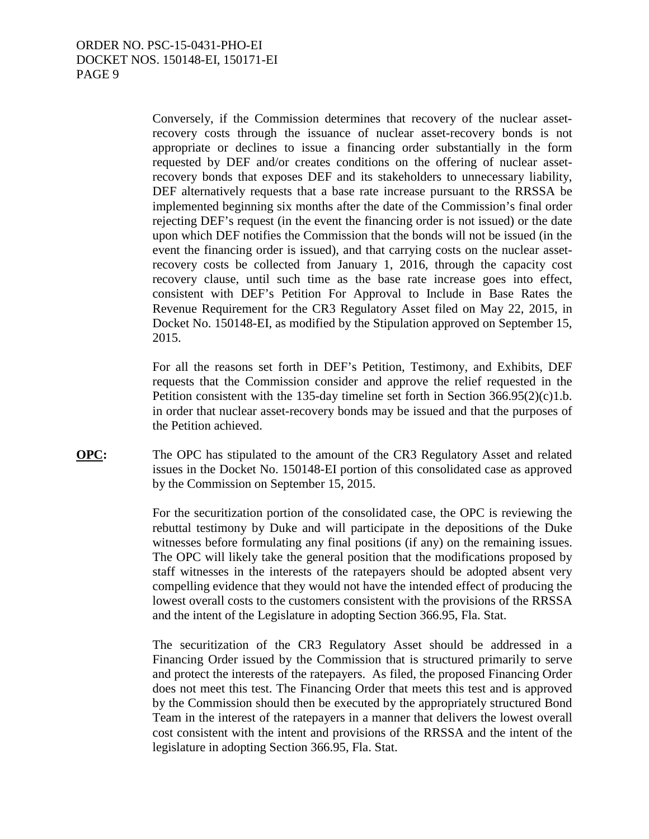Conversely, if the Commission determines that recovery of the nuclear assetrecovery costs through the issuance of nuclear asset-recovery bonds is not appropriate or declines to issue a financing order substantially in the form requested by DEF and/or creates conditions on the offering of nuclear assetrecovery bonds that exposes DEF and its stakeholders to unnecessary liability, DEF alternatively requests that a base rate increase pursuant to the RRSSA be implemented beginning six months after the date of the Commission's final order rejecting DEF's request (in the event the financing order is not issued) or the date upon which DEF notifies the Commission that the bonds will not be issued (in the event the financing order is issued), and that carrying costs on the nuclear assetrecovery costs be collected from January 1, 2016, through the capacity cost recovery clause, until such time as the base rate increase goes into effect, consistent with DEF's Petition For Approval to Include in Base Rates the Revenue Requirement for the CR3 Regulatory Asset filed on May 22, 2015, in Docket No. 150148-EI, as modified by the Stipulation approved on September 15, 2015.

For all the reasons set forth in DEF's Petition, Testimony, and Exhibits, DEF requests that the Commission consider and approve the relief requested in the Petition consistent with the 135-day timeline set forth in Section 366.95(2)(c)1.b. in order that nuclear asset-recovery bonds may be issued and that the purposes of the Petition achieved.

**OPC:** The OPC has stipulated to the amount of the CR3 Regulatory Asset and related issues in the Docket No. 150148-EI portion of this consolidated case as approved by the Commission on September 15, 2015.

> For the securitization portion of the consolidated case, the OPC is reviewing the rebuttal testimony by Duke and will participate in the depositions of the Duke witnesses before formulating any final positions (if any) on the remaining issues. The OPC will likely take the general position that the modifications proposed by staff witnesses in the interests of the ratepayers should be adopted absent very compelling evidence that they would not have the intended effect of producing the lowest overall costs to the customers consistent with the provisions of the RRSSA and the intent of the Legislature in adopting Section 366.95, Fla. Stat.

> The securitization of the CR3 Regulatory Asset should be addressed in a Financing Order issued by the Commission that is structured primarily to serve and protect the interests of the ratepayers. As filed, the proposed Financing Order does not meet this test. The Financing Order that meets this test and is approved by the Commission should then be executed by the appropriately structured Bond Team in the interest of the ratepayers in a manner that delivers the lowest overall cost consistent with the intent and provisions of the RRSSA and the intent of the legislature in adopting Section 366.95, Fla. Stat.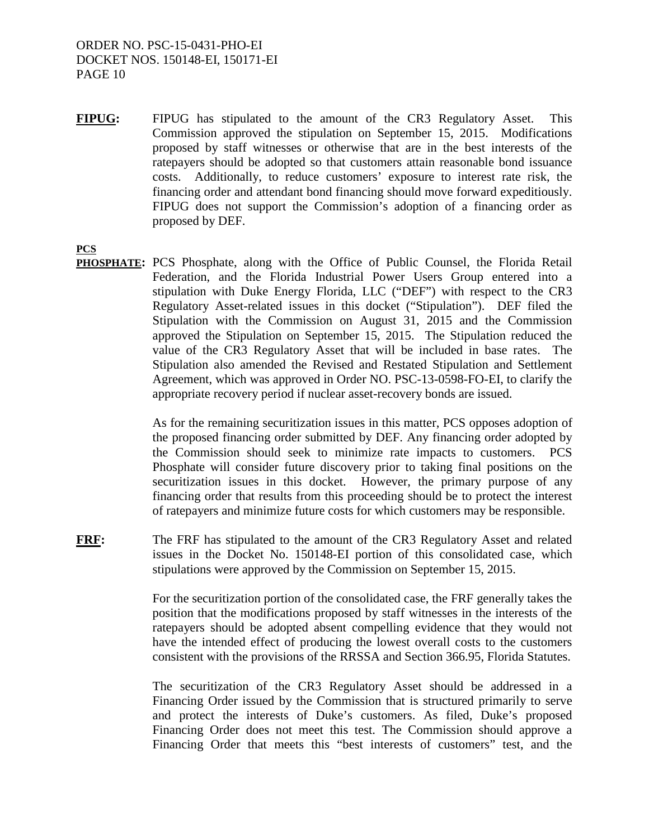**FIPUG:** FIPUG has stipulated to the amount of the CR3 Regulatory Asset. This Commission approved the stipulation on September 15, 2015. Modifications proposed by staff witnesses or otherwise that are in the best interests of the ratepayers should be adopted so that customers attain reasonable bond issuance costs. Additionally, to reduce customers' exposure to interest rate risk, the financing order and attendant bond financing should move forward expeditiously. FIPUG does not support the Commission's adoption of a financing order as proposed by DEF.

**PCS** 

**PHOSPHATE:** PCS Phosphate, along with the Office of Public Counsel, the Florida Retail Federation, and the Florida Industrial Power Users Group entered into a stipulation with Duke Energy Florida, LLC ("DEF") with respect to the CR3 Regulatory Asset-related issues in this docket ("Stipulation"). DEF filed the Stipulation with the Commission on August 31, 2015 and the Commission approved the Stipulation on September 15, 2015. The Stipulation reduced the value of the CR3 Regulatory Asset that will be included in base rates. The Stipulation also amended the Revised and Restated Stipulation and Settlement Agreement, which was approved in Order NO. PSC-13-0598-FO-EI, to clarify the appropriate recovery period if nuclear asset-recovery bonds are issued.

> As for the remaining securitization issues in this matter, PCS opposes adoption of the proposed financing order submitted by DEF. Any financing order adopted by the Commission should seek to minimize rate impacts to customers. PCS Phosphate will consider future discovery prior to taking final positions on the securitization issues in this docket. However, the primary purpose of any financing order that results from this proceeding should be to protect the interest of ratepayers and minimize future costs for which customers may be responsible.

**FRF:** The FRF has stipulated to the amount of the CR3 Regulatory Asset and related issues in the Docket No. 150148-EI portion of this consolidated case, which stipulations were approved by the Commission on September 15, 2015.

> For the securitization portion of the consolidated case, the FRF generally takes the position that the modifications proposed by staff witnesses in the interests of the ratepayers should be adopted absent compelling evidence that they would not have the intended effect of producing the lowest overall costs to the customers consistent with the provisions of the RRSSA and Section 366.95, Florida Statutes.

> The securitization of the CR3 Regulatory Asset should be addressed in a Financing Order issued by the Commission that is structured primarily to serve and protect the interests of Duke's customers. As filed, Duke's proposed Financing Order does not meet this test. The Commission should approve a Financing Order that meets this "best interests of customers" test, and the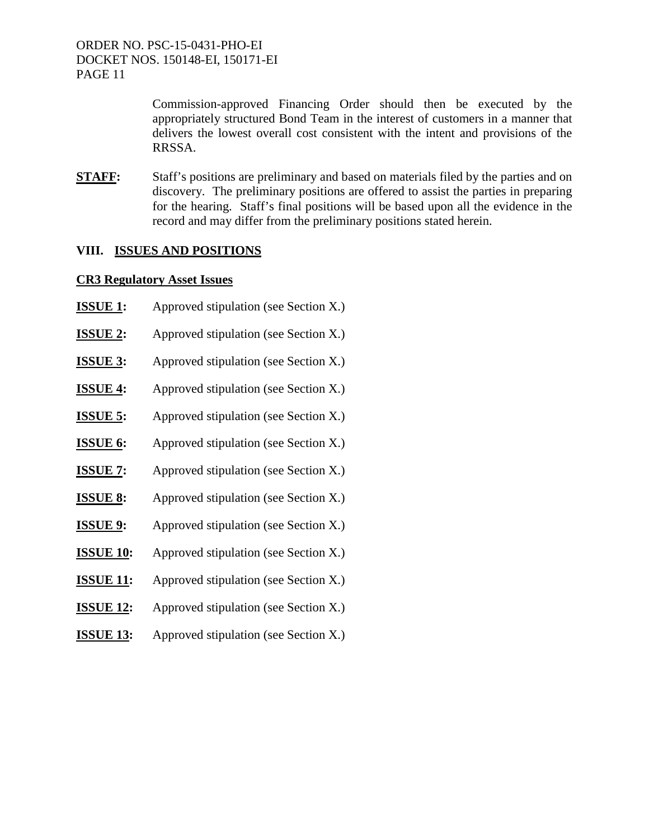> Commission-approved Financing Order should then be executed by the appropriately structured Bond Team in the interest of customers in a manner that delivers the lowest overall cost consistent with the intent and provisions of the RRSSA.

**STAFF:** Staff's positions are preliminary and based on materials filed by the parties and on discovery. The preliminary positions are offered to assist the parties in preparing for the hearing. Staff's final positions will be based upon all the evidence in the record and may differ from the preliminary positions stated herein.

#### **VIII. ISSUES AND POSITIONS**

## **CR3 Regulatory Asset Issues**

| <b>ISSUE 1:</b>  | Approved stipulation (see Section X.) |
|------------------|---------------------------------------|
| <b>ISSUE 2:</b>  | Approved stipulation (see Section X.) |
| <b>ISSUE 3:</b>  | Approved stipulation (see Section X.) |
| <b>ISSUE 4:</b>  | Approved stipulation (see Section X.) |
| <b>ISSUE 5:</b>  | Approved stipulation (see Section X.) |
| <b>ISSUE 6:</b>  | Approved stipulation (see Section X.) |
| <b>ISSUE 7:</b>  | Approved stipulation (see Section X.) |
| <b>ISSUE 8:</b>  | Approved stipulation (see Section X.) |
| <b>ISSUE 9:</b>  | Approved stipulation (see Section X.) |
| <b>ISSUE 10:</b> | Approved stipulation (see Section X.) |
| <b>ISSUE 11:</b> | Approved stipulation (see Section X.) |
| <b>ISSUE 12:</b> | Approved stipulation (see Section X.) |
| <b>ISSUE 13:</b> | Approved stipulation (see Section X.) |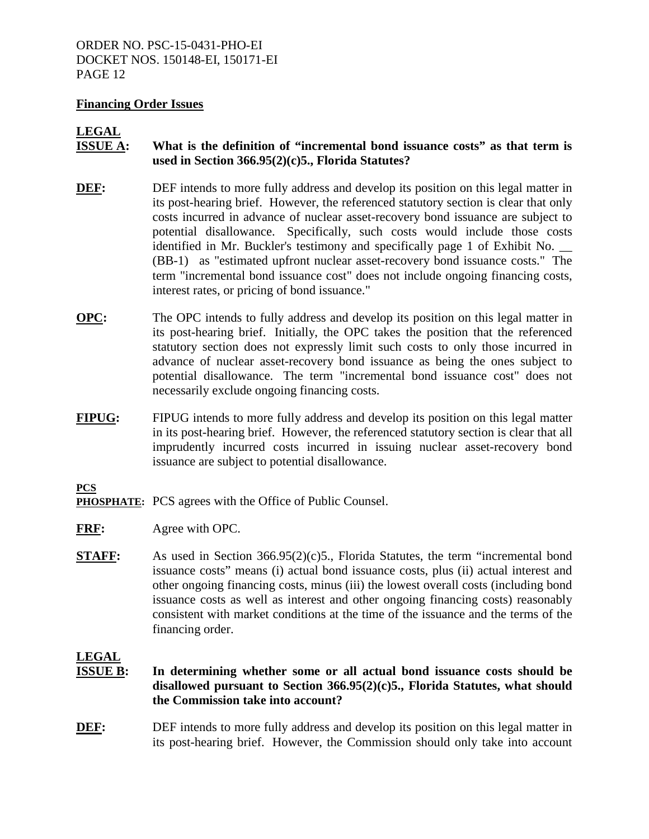#### **Financing Order Issues**

# **LEGAL**

- **ISSUE A:** What is the definition of "incremental bond issuance costs" as that term is **used in Section 366.95(2)(c)5., Florida Statutes?**
- **DEF:** DEF intends to more fully address and develop its position on this legal matter in its post-hearing brief. However, the referenced statutory section is clear that only costs incurred in advance of nuclear asset-recovery bond issuance are subject to potential disallowance. Specifically, such costs would include those costs identified in Mr. Buckler's testimony and specifically page 1 of Exhibit No. \_\_ (BB-1) as "estimated upfront nuclear asset-recovery bond issuance costs." The term "incremental bond issuance cost" does not include ongoing financing costs, interest rates, or pricing of bond issuance."
- **OPC:** The OPC intends to fully address and develop its position on this legal matter in its post-hearing brief. Initially, the OPC takes the position that the referenced statutory section does not expressly limit such costs to only those incurred in advance of nuclear asset-recovery bond issuance as being the ones subject to potential disallowance. The term "incremental bond issuance cost" does not necessarily exclude ongoing financing costs.
- **FIPUG:** FIPUG intends to more fully address and develop its position on this legal matter in its post-hearing brief. However, the referenced statutory section is clear that all imprudently incurred costs incurred in issuing nuclear asset-recovery bond issuance are subject to potential disallowance.

#### **PCS**

- **PHOSPHATE:** PCS agrees with the Office of Public Counsel.
- **FRF:** Agree with OPC.
- **STAFF:** As used in Section 366.95(2)(c)5., Florida Statutes, the term "incremental bond issuance costs" means (i) actual bond issuance costs, plus (ii) actual interest and other ongoing financing costs, minus (iii) the lowest overall costs (including bond issuance costs as well as interest and other ongoing financing costs) reasonably consistent with market conditions at the time of the issuance and the terms of the financing order.

# **LEGAL**

- **ISSUE B: In determining whether some or all actual bond issuance costs should be disallowed pursuant to Section 366.95(2)(c)5., Florida Statutes, what should the Commission take into account?**
- **DEF:** DEF intends to more fully address and develop its position on this legal matter in its post-hearing brief. However, the Commission should only take into account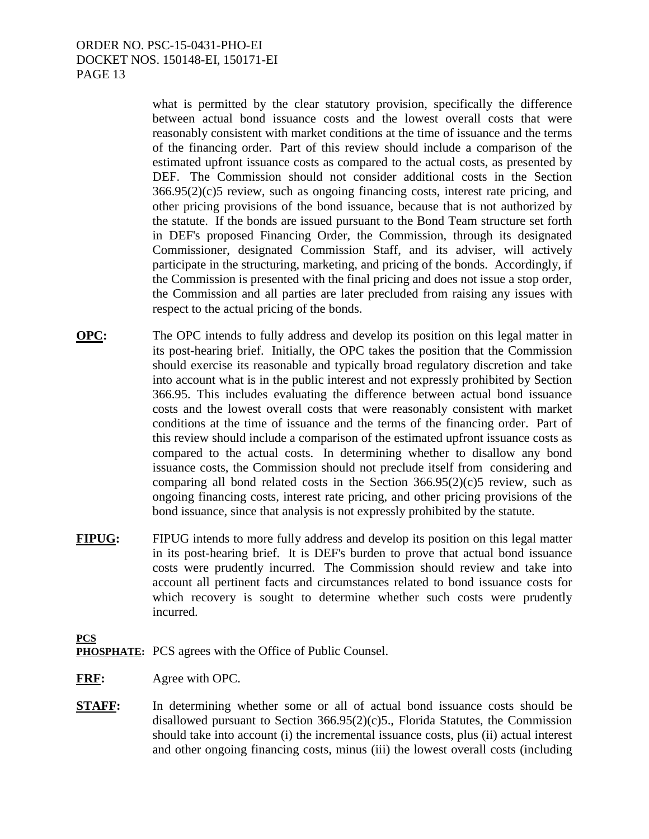what is permitted by the clear statutory provision, specifically the difference between actual bond issuance costs and the lowest overall costs that were reasonably consistent with market conditions at the time of issuance and the terms of the financing order. Part of this review should include a comparison of the estimated upfront issuance costs as compared to the actual costs, as presented by DEF. The Commission should not consider additional costs in the Section  $366.95(2)(c)5$  review, such as ongoing financing costs, interest rate pricing, and other pricing provisions of the bond issuance, because that is not authorized by the statute. If the bonds are issued pursuant to the Bond Team structure set forth in DEF's proposed Financing Order, the Commission, through its designated Commissioner, designated Commission Staff, and its adviser, will actively participate in the structuring, marketing, and pricing of the bonds. Accordingly, if the Commission is presented with the final pricing and does not issue a stop order, the Commission and all parties are later precluded from raising any issues with respect to the actual pricing of the bonds.

- **OPC:** The OPC intends to fully address and develop its position on this legal matter in its post-hearing brief. Initially, the OPC takes the position that the Commission should exercise its reasonable and typically broad regulatory discretion and take into account what is in the public interest and not expressly prohibited by Section 366.95. This includes evaluating the difference between actual bond issuance costs and the lowest overall costs that were reasonably consistent with market conditions at the time of issuance and the terms of the financing order. Part of this review should include a comparison of the estimated upfront issuance costs as compared to the actual costs. In determining whether to disallow any bond issuance costs, the Commission should not preclude itself from considering and comparing all bond related costs in the Section  $366.95(2)(c)5$  review, such as ongoing financing costs, interest rate pricing, and other pricing provisions of the bond issuance, since that analysis is not expressly prohibited by the statute.
- **FIPUG:** FIPUG intends to more fully address and develop its position on this legal matter in its post-hearing brief. It is DEF's burden to prove that actual bond issuance costs were prudently incurred. The Commission should review and take into account all pertinent facts and circumstances related to bond issuance costs for which recovery is sought to determine whether such costs were prudently incurred.

**PCS PHOSPHATE:** PCS agrees with the Office of Public Counsel.

**FRF:** Agree with OPC.

**STAFF:** In determining whether some or all of actual bond issuance costs should be disallowed pursuant to Section 366.95(2)(c)5., Florida Statutes, the Commission should take into account (i) the incremental issuance costs, plus (ii) actual interest and other ongoing financing costs, minus (iii) the lowest overall costs (including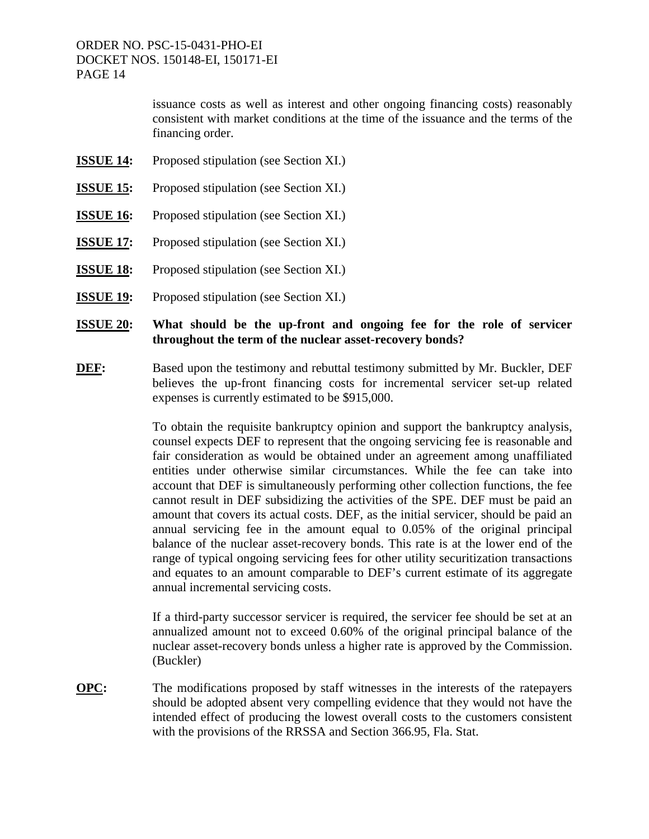> issuance costs as well as interest and other ongoing financing costs) reasonably consistent with market conditions at the time of the issuance and the terms of the financing order.

- **ISSUE 14:** Proposed stipulation (see Section XI.)
- **ISSUE 15:** Proposed stipulation (see Section XI.)
- **ISSUE 16:** Proposed stipulation (see Section XI.)
- **ISSUE 17:** Proposed stipulation (see Section XI.)
- **ISSUE 18:** Proposed stipulation (see Section XI.)
- **ISSUE 19:** Proposed stipulation (see Section XI.)

#### **ISSUE 20: What should be the up-front and ongoing fee for the role of servicer throughout the term of the nuclear asset-recovery bonds?**

**DEF:** Based upon the testimony and rebuttal testimony submitted by Mr. Buckler, DEF believes the up-front financing costs for incremental servicer set-up related expenses is currently estimated to be \$915,000.

> To obtain the requisite bankruptcy opinion and support the bankruptcy analysis, counsel expects DEF to represent that the ongoing servicing fee is reasonable and fair consideration as would be obtained under an agreement among unaffiliated entities under otherwise similar circumstances. While the fee can take into account that DEF is simultaneously performing other collection functions, the fee cannot result in DEF subsidizing the activities of the SPE. DEF must be paid an amount that covers its actual costs. DEF, as the initial servicer, should be paid an annual servicing fee in the amount equal to 0.05% of the original principal balance of the nuclear asset-recovery bonds. This rate is at the lower end of the range of typical ongoing servicing fees for other utility securitization transactions and equates to an amount comparable to DEF's current estimate of its aggregate annual incremental servicing costs.

> If a third-party successor servicer is required, the servicer fee should be set at an annualized amount not to exceed 0.60% of the original principal balance of the nuclear asset-recovery bonds unless a higher rate is approved by the Commission. (Buckler)

**OPC:** The modifications proposed by staff witnesses in the interests of the ratepayers should be adopted absent very compelling evidence that they would not have the intended effect of producing the lowest overall costs to the customers consistent with the provisions of the RRSSA and Section 366.95, Fla. Stat.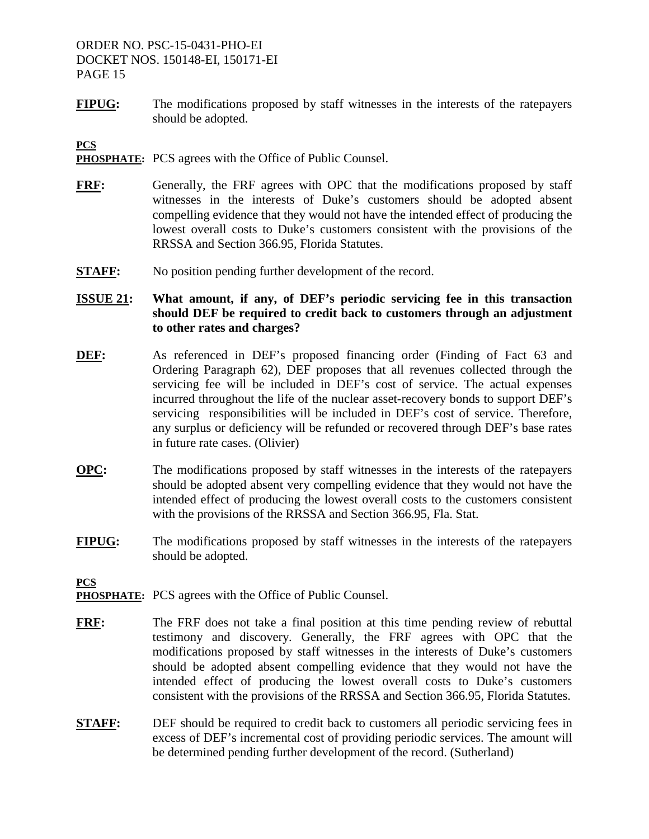**FIPUG:** The modifications proposed by staff witnesses in the interests of the ratepayers should be adopted.

**PCS** 

- **PHOSPHATE:** PCS agrees with the Office of Public Counsel.
- **FRF:** Generally, the FRF agrees with OPC that the modifications proposed by staff witnesses in the interests of Duke's customers should be adopted absent compelling evidence that they would not have the intended effect of producing the lowest overall costs to Duke's customers consistent with the provisions of the RRSSA and Section 366.95, Florida Statutes.
- **STAFF:** No position pending further development of the record.

## **ISSUE 21: What amount, if any, of DEF's periodic servicing fee in this transaction should DEF be required to credit back to customers through an adjustment to other rates and charges?**

- **DEF:** As referenced in DEF's proposed financing order (Finding of Fact 63 and Ordering Paragraph 62), DEF proposes that all revenues collected through the servicing fee will be included in DEF's cost of service. The actual expenses incurred throughout the life of the nuclear asset-recovery bonds to support DEF's servicing responsibilities will be included in DEF's cost of service. Therefore, any surplus or deficiency will be refunded or recovered through DEF's base rates in future rate cases. (Olivier)
- **OPC:** The modifications proposed by staff witnesses in the interests of the ratepayers should be adopted absent very compelling evidence that they would not have the intended effect of producing the lowest overall costs to the customers consistent with the provisions of the RRSSA and Section 366.95, Fla. Stat.
- **FIPUG:** The modifications proposed by staff witnesses in the interests of the ratepayers should be adopted.

- **PHOSPHATE:** PCS agrees with the Office of Public Counsel.
- **FRF:** The FRF does not take a final position at this time pending review of rebuttal testimony and discovery. Generally, the FRF agrees with OPC that the modifications proposed by staff witnesses in the interests of Duke's customers should be adopted absent compelling evidence that they would not have the intended effect of producing the lowest overall costs to Duke's customers consistent with the provisions of the RRSSA and Section 366.95, Florida Statutes.
- **STAFF:** DEF should be required to credit back to customers all periodic servicing fees in excess of DEF's incremental cost of providing periodic services. The amount will be determined pending further development of the record. (Sutherland)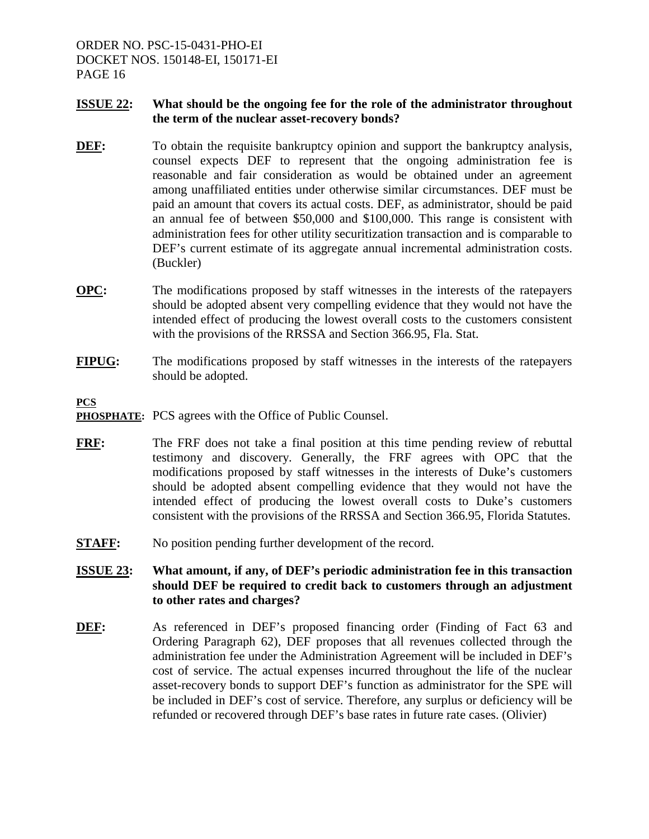#### **ISSUE 22: What should be the ongoing fee for the role of the administrator throughout the term of the nuclear asset-recovery bonds?**

- **DEF:** To obtain the requisite bankruptcy opinion and support the bankruptcy analysis, counsel expects DEF to represent that the ongoing administration fee is reasonable and fair consideration as would be obtained under an agreement among unaffiliated entities under otherwise similar circumstances. DEF must be paid an amount that covers its actual costs. DEF, as administrator, should be paid an annual fee of between \$50,000 and \$100,000. This range is consistent with administration fees for other utility securitization transaction and is comparable to DEF's current estimate of its aggregate annual incremental administration costs. (Buckler)
- **OPC:** The modifications proposed by staff witnesses in the interests of the ratepayers should be adopted absent very compelling evidence that they would not have the intended effect of producing the lowest overall costs to the customers consistent with the provisions of the RRSSA and Section 366.95, Fla. Stat.
- **FIPUG:** The modifications proposed by staff witnesses in the interests of the ratepayers should be adopted.

**PCS** 

- **PHOSPHATE:** PCS agrees with the Office of Public Counsel.
- **FRF:** The FRF does not take a final position at this time pending review of rebuttal testimony and discovery. Generally, the FRF agrees with OPC that the modifications proposed by staff witnesses in the interests of Duke's customers should be adopted absent compelling evidence that they would not have the intended effect of producing the lowest overall costs to Duke's customers consistent with the provisions of the RRSSA and Section 366.95, Florida Statutes.
- **STAFF:** No position pending further development of the record.

## **ISSUE 23: What amount, if any, of DEF's periodic administration fee in this transaction should DEF be required to credit back to customers through an adjustment to other rates and charges?**

**DEF:** As referenced in DEF's proposed financing order (Finding of Fact 63 and Ordering Paragraph 62), DEF proposes that all revenues collected through the administration fee under the Administration Agreement will be included in DEF's cost of service. The actual expenses incurred throughout the life of the nuclear asset-recovery bonds to support DEF's function as administrator for the SPE will be included in DEF's cost of service. Therefore, any surplus or deficiency will be refunded or recovered through DEF's base rates in future rate cases. (Olivier)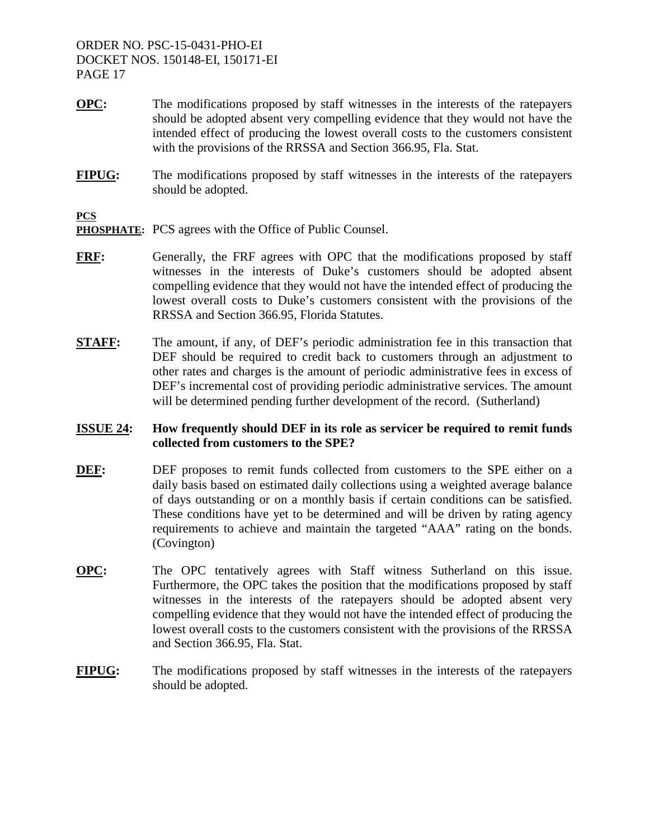- **OPC:** The modifications proposed by staff witnesses in the interests of the ratepayers should be adopted absent very compelling evidence that they would not have the intended effect of producing the lowest overall costs to the customers consistent with the provisions of the RRSSA and Section 366.95, Fla. Stat.
- **FIPUG:** The modifications proposed by staff witnesses in the interests of the ratepayers should be adopted.

**PCS** 

- **PHOSPHATE:** PCS agrees with the Office of Public Counsel.
- **FRF:** Generally, the FRF agrees with OPC that the modifications proposed by staff witnesses in the interests of Duke's customers should be adopted absent compelling evidence that they would not have the intended effect of producing the lowest overall costs to Duke's customers consistent with the provisions of the RRSSA and Section 366.95, Florida Statutes.
- **STAFF:** The amount, if any, of DEF's periodic administration fee in this transaction that DEF should be required to credit back to customers through an adjustment to other rates and charges is the amount of periodic administrative fees in excess of DEF's incremental cost of providing periodic administrative services. The amount will be determined pending further development of the record. (Sutherland)

## **ISSUE 24: How frequently should DEF in its role as servicer be required to remit funds collected from customers to the SPE?**

- **DEF:** DEF proposes to remit funds collected from customers to the SPE either on a daily basis based on estimated daily collections using a weighted average balance of days outstanding or on a monthly basis if certain conditions can be satisfied. These conditions have yet to be determined and will be driven by rating agency requirements to achieve and maintain the targeted "AAA" rating on the bonds. (Covington)
- **OPC:** The OPC tentatively agrees with Staff witness Sutherland on this issue. Furthermore, the OPC takes the position that the modifications proposed by staff witnesses in the interests of the ratepayers should be adopted absent very compelling evidence that they would not have the intended effect of producing the lowest overall costs to the customers consistent with the provisions of the RRSSA and Section 366.95, Fla. Stat.
- **FIPUG:** The modifications proposed by staff witnesses in the interests of the ratepayers should be adopted.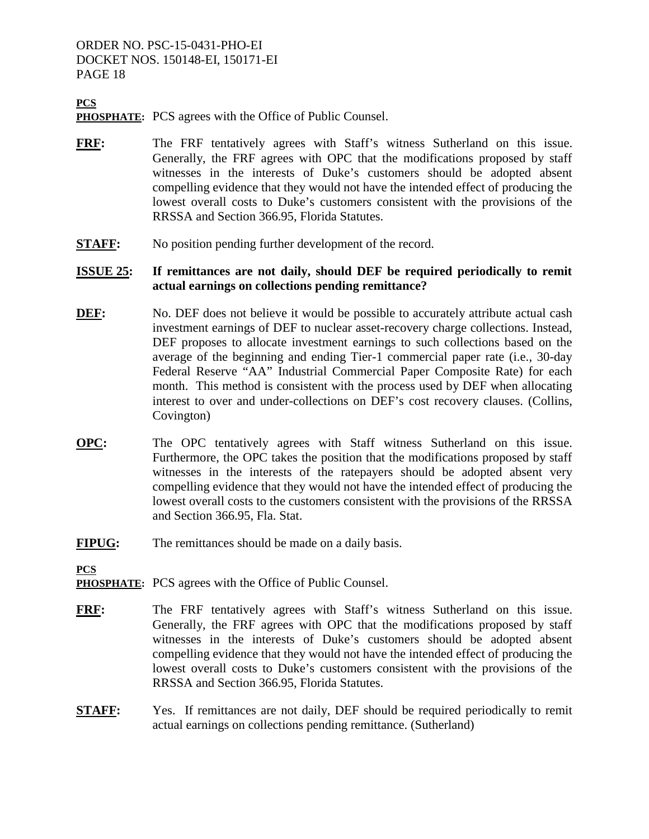## **PCS**

**PHOSPHATE:** PCS agrees with the Office of Public Counsel.

- **FRF:** The FRF tentatively agrees with Staff's witness Sutherland on this issue. Generally, the FRF agrees with OPC that the modifications proposed by staff witnesses in the interests of Duke's customers should be adopted absent compelling evidence that they would not have the intended effect of producing the lowest overall costs to Duke's customers consistent with the provisions of the RRSSA and Section 366.95, Florida Statutes.
- **STAFF:** No position pending further development of the record.

#### **ISSUE 25: If remittances are not daily, should DEF be required periodically to remit actual earnings on collections pending remittance?**

- **DEF:** No. DEF does not believe it would be possible to accurately attribute actual cash investment earnings of DEF to nuclear asset-recovery charge collections. Instead, DEF proposes to allocate investment earnings to such collections based on the average of the beginning and ending Tier-1 commercial paper rate (i.e., 30-day Federal Reserve "AA" Industrial Commercial Paper Composite Rate) for each month. This method is consistent with the process used by DEF when allocating interest to over and under-collections on DEF's cost recovery clauses. (Collins, Covington)
- **OPC:** The OPC tentatively agrees with Staff witness Sutherland on this issue. Furthermore, the OPC takes the position that the modifications proposed by staff witnesses in the interests of the ratepayers should be adopted absent very compelling evidence that they would not have the intended effect of producing the lowest overall costs to the customers consistent with the provisions of the RRSSA and Section 366.95, Fla. Stat.
- **FIPUG:** The remittances should be made on a daily basis.

- **PHOSPHATE:** PCS agrees with the Office of Public Counsel.
- **FRF:** The FRF tentatively agrees with Staff's witness Sutherland on this issue. Generally, the FRF agrees with OPC that the modifications proposed by staff witnesses in the interests of Duke's customers should be adopted absent compelling evidence that they would not have the intended effect of producing the lowest overall costs to Duke's customers consistent with the provisions of the RRSSA and Section 366.95, Florida Statutes.
- **STAFF:** Yes. If remittances are not daily, DEF should be required periodically to remit actual earnings on collections pending remittance. (Sutherland)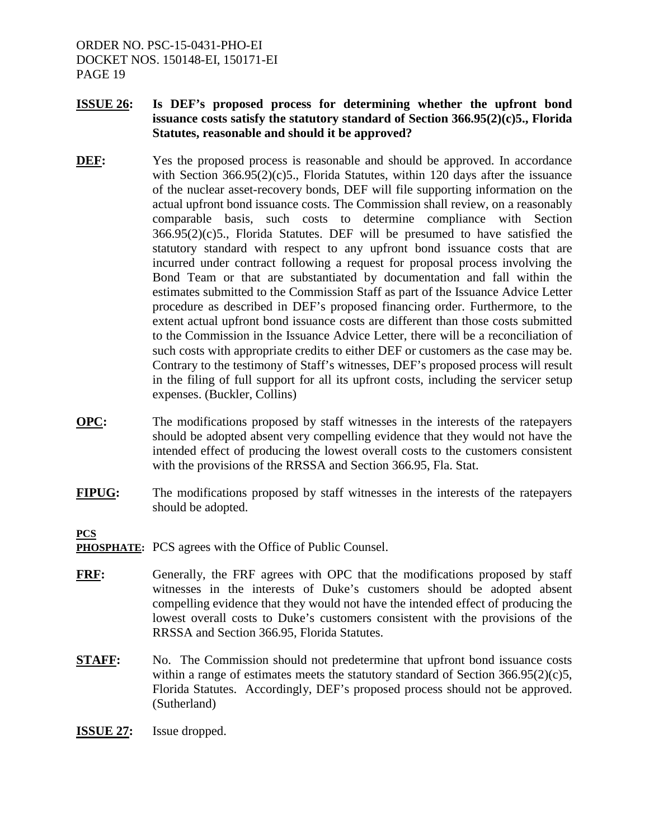- **ISSUE 26: Is DEF's proposed process for determining whether the upfront bond issuance costs satisfy the statutory standard of Section 366.95(2)(c)5., Florida Statutes, reasonable and should it be approved?**
- **DEF:** Yes the proposed process is reasonable and should be approved. In accordance with Section 366.95(2)(c)5., Florida Statutes, within 120 days after the issuance of the nuclear asset-recovery bonds, DEF will file supporting information on the actual upfront bond issuance costs. The Commission shall review, on a reasonably comparable basis, such costs to determine compliance with Section  $366.95(2)(c)5$ ., Florida Statutes. DEF will be presumed to have satisfied the statutory standard with respect to any upfront bond issuance costs that are incurred under contract following a request for proposal process involving the Bond Team or that are substantiated by documentation and fall within the estimates submitted to the Commission Staff as part of the Issuance Advice Letter procedure as described in DEF's proposed financing order. Furthermore, to the extent actual upfront bond issuance costs are different than those costs submitted to the Commission in the Issuance Advice Letter, there will be a reconciliation of such costs with appropriate credits to either DEF or customers as the case may be. Contrary to the testimony of Staff's witnesses, DEF's proposed process will result in the filing of full support for all its upfront costs, including the servicer setup expenses. (Buckler, Collins)
- **OPC:** The modifications proposed by staff witnesses in the interests of the ratepayers should be adopted absent very compelling evidence that they would not have the intended effect of producing the lowest overall costs to the customers consistent with the provisions of the RRSSA and Section 366.95, Fla. Stat.
- **FIPUG:** The modifications proposed by staff witnesses in the interests of the ratepayers should be adopted.

- **PHOSPHATE:** PCS agrees with the Office of Public Counsel.
- **FRF:** Generally, the FRF agrees with OPC that the modifications proposed by staff witnesses in the interests of Duke's customers should be adopted absent compelling evidence that they would not have the intended effect of producing the lowest overall costs to Duke's customers consistent with the provisions of the RRSSA and Section 366.95, Florida Statutes.
- **STAFF:** No. The Commission should not predetermine that upfront bond issuance costs within a range of estimates meets the statutory standard of Section  $366.95(2)(c)5$ , Florida Statutes. Accordingly, DEF's proposed process should not be approved. (Sutherland)
- **ISSUE 27:** Issue dropped.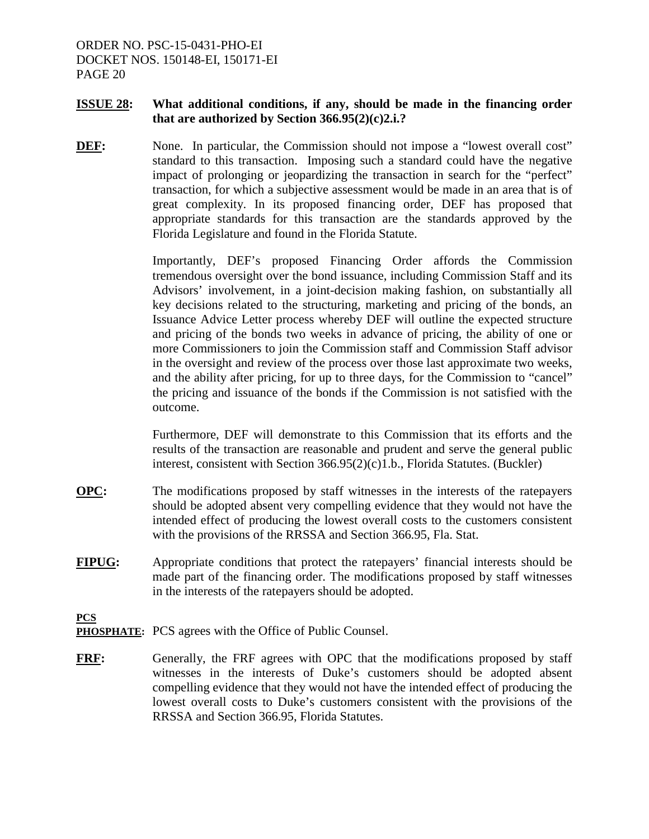#### **ISSUE 28: What additional conditions, if any, should be made in the financing order that are authorized by Section 366.95(2)(c)2.i.?**

**DEF:** None. In particular, the Commission should not impose a "lowest overall cost" standard to this transaction. Imposing such a standard could have the negative impact of prolonging or jeopardizing the transaction in search for the "perfect" transaction, for which a subjective assessment would be made in an area that is of great complexity. In its proposed financing order, DEF has proposed that appropriate standards for this transaction are the standards approved by the Florida Legislature and found in the Florida Statute.

> Importantly, DEF's proposed Financing Order affords the Commission tremendous oversight over the bond issuance, including Commission Staff and its Advisors' involvement, in a joint-decision making fashion, on substantially all key decisions related to the structuring, marketing and pricing of the bonds, an Issuance Advice Letter process whereby DEF will outline the expected structure and pricing of the bonds two weeks in advance of pricing, the ability of one or more Commissioners to join the Commission staff and Commission Staff advisor in the oversight and review of the process over those last approximate two weeks, and the ability after pricing, for up to three days, for the Commission to "cancel" the pricing and issuance of the bonds if the Commission is not satisfied with the outcome.

> Furthermore, DEF will demonstrate to this Commission that its efforts and the results of the transaction are reasonable and prudent and serve the general public interest, consistent with Section 366.95(2)(c)1.b., Florida Statutes. (Buckler)

- **OPC:** The modifications proposed by staff witnesses in the interests of the ratepayers should be adopted absent very compelling evidence that they would not have the intended effect of producing the lowest overall costs to the customers consistent with the provisions of the RRSSA and Section 366.95, Fla. Stat.
- **FIPUG:** Appropriate conditions that protect the ratepayers' financial interests should be made part of the financing order. The modifications proposed by staff witnesses in the interests of the ratepayers should be adopted.

- **PHOSPHATE:** PCS agrees with the Office of Public Counsel.
- **FRF:** Generally, the FRF agrees with OPC that the modifications proposed by staff witnesses in the interests of Duke's customers should be adopted absent compelling evidence that they would not have the intended effect of producing the lowest overall costs to Duke's customers consistent with the provisions of the RRSSA and Section 366.95, Florida Statutes.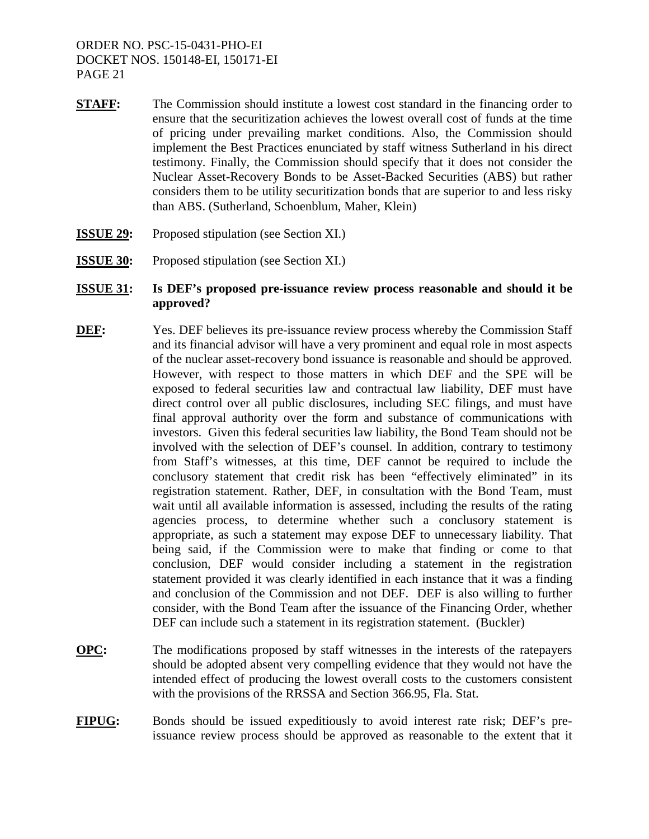- **STAFF:** The Commission should institute a lowest cost standard in the financing order to ensure that the securitization achieves the lowest overall cost of funds at the time of pricing under prevailing market conditions. Also, the Commission should implement the Best Practices enunciated by staff witness Sutherland in his direct testimony. Finally, the Commission should specify that it does not consider the Nuclear Asset-Recovery Bonds to be Asset-Backed Securities (ABS) but rather considers them to be utility securitization bonds that are superior to and less risky than ABS. (Sutherland, Schoenblum, Maher, Klein)
- **ISSUE 29:** Proposed stipulation (see Section XI.)
- **ISSUE 30:** Proposed stipulation (see Section XI.)
- **ISSUE 31: Is DEF's proposed pre-issuance review process reasonable and should it be approved?**
- **DEF:** Yes. DEF believes its pre-issuance review process whereby the Commission Staff and its financial advisor will have a very prominent and equal role in most aspects of the nuclear asset-recovery bond issuance is reasonable and should be approved. However, with respect to those matters in which DEF and the SPE will be exposed to federal securities law and contractual law liability, DEF must have direct control over all public disclosures, including SEC filings, and must have final approval authority over the form and substance of communications with investors. Given this federal securities law liability, the Bond Team should not be involved with the selection of DEF's counsel. In addition, contrary to testimony from Staff's witnesses, at this time, DEF cannot be required to include the conclusory statement that credit risk has been "effectively eliminated" in its registration statement. Rather, DEF, in consultation with the Bond Team, must wait until all available information is assessed, including the results of the rating agencies process, to determine whether such a conclusory statement is appropriate, as such a statement may expose DEF to unnecessary liability. That being said, if the Commission were to make that finding or come to that conclusion, DEF would consider including a statement in the registration statement provided it was clearly identified in each instance that it was a finding and conclusion of the Commission and not DEF. DEF is also willing to further consider, with the Bond Team after the issuance of the Financing Order, whether DEF can include such a statement in its registration statement. (Buckler)
- **OPC:** The modifications proposed by staff witnesses in the interests of the ratepayers should be adopted absent very compelling evidence that they would not have the intended effect of producing the lowest overall costs to the customers consistent with the provisions of the RRSSA and Section 366.95, Fla. Stat.
- **FIPUG:** Bonds should be issued expeditiously to avoid interest rate risk; DEF's preissuance review process should be approved as reasonable to the extent that it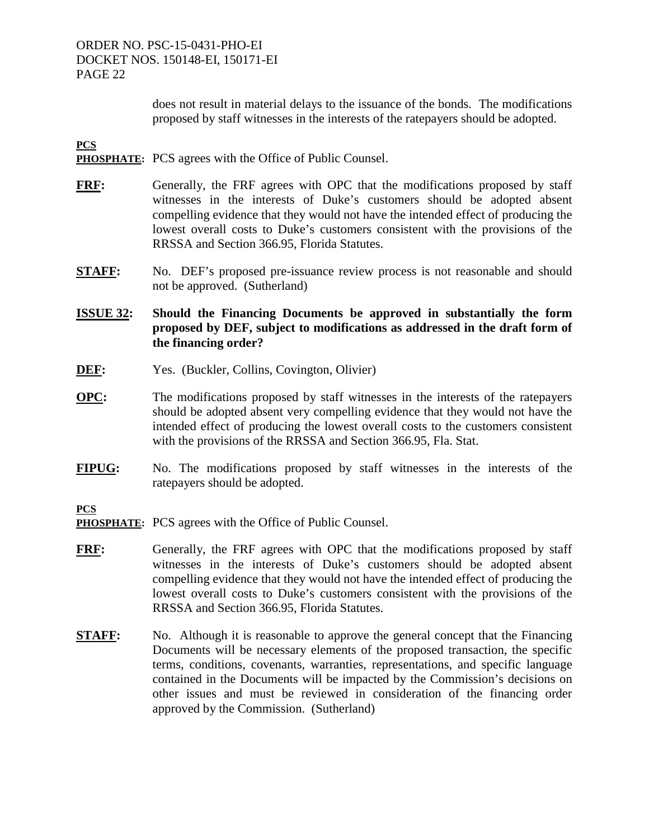does not result in material delays to the issuance of the bonds. The modifications proposed by staff witnesses in the interests of the ratepayers should be adopted.

**PCS** 

- **PHOSPHATE:** PCS agrees with the Office of Public Counsel.
- **FRF:** Generally, the FRF agrees with OPC that the modifications proposed by staff witnesses in the interests of Duke's customers should be adopted absent compelling evidence that they would not have the intended effect of producing the lowest overall costs to Duke's customers consistent with the provisions of the RRSSA and Section 366.95, Florida Statutes.
- **STAFF:** No. DEF's proposed pre-issuance review process is not reasonable and should not be approved. (Sutherland)
- **ISSUE 32: Should the Financing Documents be approved in substantially the form proposed by DEF, subject to modifications as addressed in the draft form of the financing order?**
- **DEF:** Yes. (Buckler, Collins, Covington, Olivier)
- **OPC:** The modifications proposed by staff witnesses in the interests of the ratepayers should be adopted absent very compelling evidence that they would not have the intended effect of producing the lowest overall costs to the customers consistent with the provisions of the RRSSA and Section 366.95, Fla. Stat.
- **FIPUG:** No. The modifications proposed by staff witnesses in the interests of the ratepayers should be adopted.

- **PHOSPHATE:** PCS agrees with the Office of Public Counsel.
- **FRF:** Generally, the FRF agrees with OPC that the modifications proposed by staff witnesses in the interests of Duke's customers should be adopted absent compelling evidence that they would not have the intended effect of producing the lowest overall costs to Duke's customers consistent with the provisions of the RRSSA and Section 366.95, Florida Statutes.
- **STAFF:** No. Although it is reasonable to approve the general concept that the Financing Documents will be necessary elements of the proposed transaction, the specific terms, conditions, covenants, warranties, representations, and specific language contained in the Documents will be impacted by the Commission's decisions on other issues and must be reviewed in consideration of the financing order approved by the Commission. (Sutherland)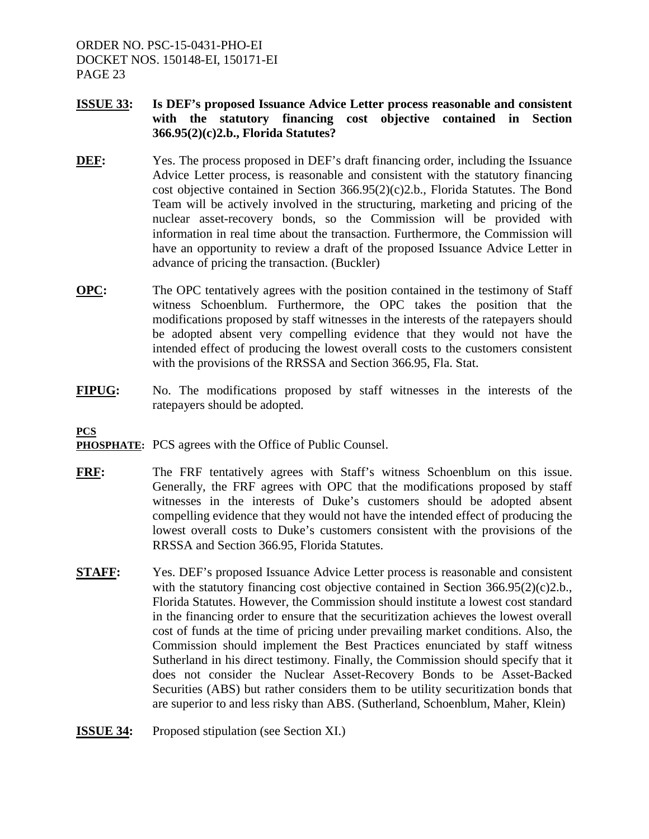## **ISSUE 33: Is DEF's proposed Issuance Advice Letter process reasonable and consistent with the statutory financing cost objective contained in Section 366.95(2)(c)2.b., Florida Statutes?**

- **DEF:** Yes. The process proposed in DEF's draft financing order, including the Issuance Advice Letter process, is reasonable and consistent with the statutory financing cost objective contained in Section  $366.95(2)(c)2.b$ ., Florida Statutes. The Bond Team will be actively involved in the structuring, marketing and pricing of the nuclear asset-recovery bonds, so the Commission will be provided with information in real time about the transaction. Furthermore, the Commission will have an opportunity to review a draft of the proposed Issuance Advice Letter in advance of pricing the transaction. (Buckler)
- **OPC:** The OPC tentatively agrees with the position contained in the testimony of Staff witness Schoenblum. Furthermore, the OPC takes the position that the modifications proposed by staff witnesses in the interests of the ratepayers should be adopted absent very compelling evidence that they would not have the intended effect of producing the lowest overall costs to the customers consistent with the provisions of the RRSSA and Section 366.95, Fla. Stat.
- **FIPUG:** No. The modifications proposed by staff witnesses in the interests of the ratepayers should be adopted.

- **PHOSPHATE:** PCS agrees with the Office of Public Counsel.
- **FRF:** The FRF tentatively agrees with Staff's witness Schoenblum on this issue. Generally, the FRF agrees with OPC that the modifications proposed by staff witnesses in the interests of Duke's customers should be adopted absent compelling evidence that they would not have the intended effect of producing the lowest overall costs to Duke's customers consistent with the provisions of the RRSSA and Section 366.95, Florida Statutes.
- **STAFF:** Yes. DEF's proposed Issuance Advice Letter process is reasonable and consistent with the statutory financing cost objective contained in Section  $366.95(2)(c)2.b.,$ Florida Statutes. However, the Commission should institute a lowest cost standard in the financing order to ensure that the securitization achieves the lowest overall cost of funds at the time of pricing under prevailing market conditions. Also, the Commission should implement the Best Practices enunciated by staff witness Sutherland in his direct testimony. Finally, the Commission should specify that it does not consider the Nuclear Asset-Recovery Bonds to be Asset-Backed Securities (ABS) but rather considers them to be utility securitization bonds that are superior to and less risky than ABS. (Sutherland, Schoenblum, Maher, Klein)
- **ISSUE 34:** Proposed stipulation (see Section XI.)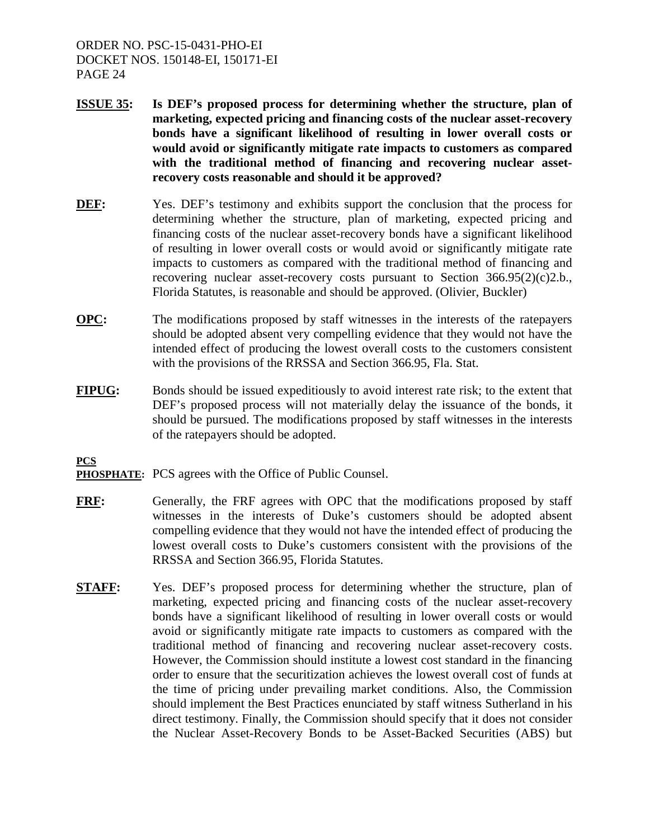- **ISSUE 35: Is DEF's proposed process for determining whether the structure, plan of marketing, expected pricing and financing costs of the nuclear asset-recovery bonds have a significant likelihood of resulting in lower overall costs or would avoid or significantly mitigate rate impacts to customers as compared with the traditional method of financing and recovering nuclear assetrecovery costs reasonable and should it be approved?**
- **DEF:** Yes. DEF's testimony and exhibits support the conclusion that the process for determining whether the structure, plan of marketing, expected pricing and financing costs of the nuclear asset-recovery bonds have a significant likelihood of resulting in lower overall costs or would avoid or significantly mitigate rate impacts to customers as compared with the traditional method of financing and recovering nuclear asset-recovery costs pursuant to Section  $366.95(2)(c)2.b.,$ Florida Statutes, is reasonable and should be approved. (Olivier, Buckler)
- **OPC:** The modifications proposed by staff witnesses in the interests of the ratepayers should be adopted absent very compelling evidence that they would not have the intended effect of producing the lowest overall costs to the customers consistent with the provisions of the RRSSA and Section 366.95, Fla. Stat.
- **FIPUG:** Bonds should be issued expeditiously to avoid interest rate risk; to the extent that DEF's proposed process will not materially delay the issuance of the bonds, it should be pursued. The modifications proposed by staff witnesses in the interests of the ratepayers should be adopted.

- **PHOSPHATE:** PCS agrees with the Office of Public Counsel.
- **FRF:** Generally, the FRF agrees with OPC that the modifications proposed by staff witnesses in the interests of Duke's customers should be adopted absent compelling evidence that they would not have the intended effect of producing the lowest overall costs to Duke's customers consistent with the provisions of the RRSSA and Section 366.95, Florida Statutes.
- **STAFF:** Yes. DEF's proposed process for determining whether the structure, plan of marketing, expected pricing and financing costs of the nuclear asset-recovery bonds have a significant likelihood of resulting in lower overall costs or would avoid or significantly mitigate rate impacts to customers as compared with the traditional method of financing and recovering nuclear asset-recovery costs. However, the Commission should institute a lowest cost standard in the financing order to ensure that the securitization achieves the lowest overall cost of funds at the time of pricing under prevailing market conditions. Also, the Commission should implement the Best Practices enunciated by staff witness Sutherland in his direct testimony. Finally, the Commission should specify that it does not consider the Nuclear Asset-Recovery Bonds to be Asset-Backed Securities (ABS) but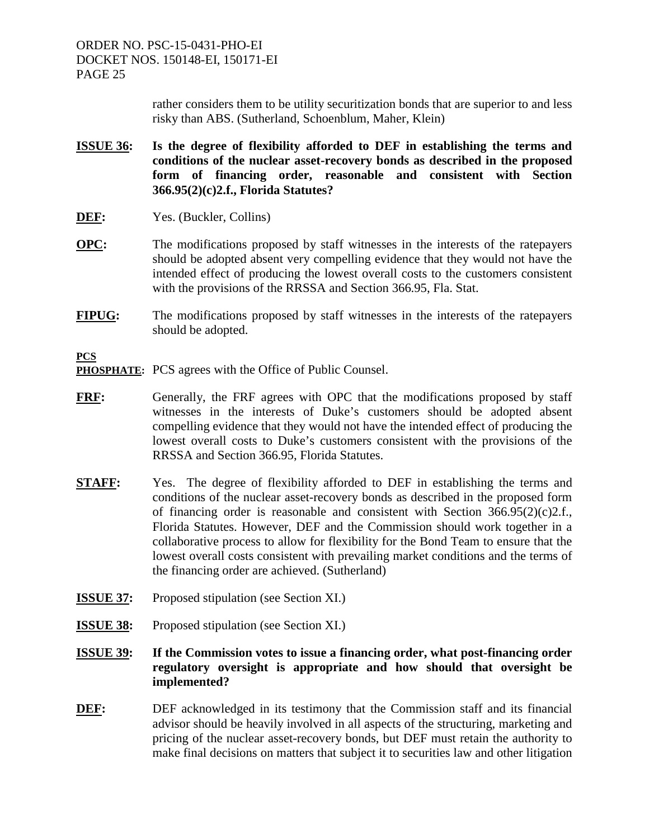> rather considers them to be utility securitization bonds that are superior to and less risky than ABS. (Sutherland, Schoenblum, Maher, Klein)

- **ISSUE 36: Is the degree of flexibility afforded to DEF in establishing the terms and conditions of the nuclear asset-recovery bonds as described in the proposed form of financing order, reasonable and consistent with Section 366.95(2)(c)2.f., Florida Statutes?**
- **DEF:** Yes. (Buckler, Collins)
- **OPC:** The modifications proposed by staff witnesses in the interests of the ratepayers should be adopted absent very compelling evidence that they would not have the intended effect of producing the lowest overall costs to the customers consistent with the provisions of the RRSSA and Section 366.95, Fla. Stat.
- **FIPUG:** The modifications proposed by staff witnesses in the interests of the ratepayers should be adopted.

- **PHOSPHATE:** PCS agrees with the Office of Public Counsel.
- **FRF:** Generally, the FRF agrees with OPC that the modifications proposed by staff witnesses in the interests of Duke's customers should be adopted absent compelling evidence that they would not have the intended effect of producing the lowest overall costs to Duke's customers consistent with the provisions of the RRSSA and Section 366.95, Florida Statutes.
- **STAFF:** Yes. The degree of flexibility afforded to DEF in establishing the terms and conditions of the nuclear asset-recovery bonds as described in the proposed form of financing order is reasonable and consistent with Section 366.95(2)(c)2.f., Florida Statutes. However, DEF and the Commission should work together in a collaborative process to allow for flexibility for the Bond Team to ensure that the lowest overall costs consistent with prevailing market conditions and the terms of the financing order are achieved. (Sutherland)
- **ISSUE 37:** Proposed stipulation (see Section XI.)
- **ISSUE 38:** Proposed stipulation (see Section XI.)
- **ISSUE 39: If the Commission votes to issue a financing order, what post-financing order regulatory oversight is appropriate and how should that oversight be implemented?**
- **DEF:** DEF acknowledged in its testimony that the Commission staff and its financial advisor should be heavily involved in all aspects of the structuring, marketing and pricing of the nuclear asset-recovery bonds, but DEF must retain the authority to make final decisions on matters that subject it to securities law and other litigation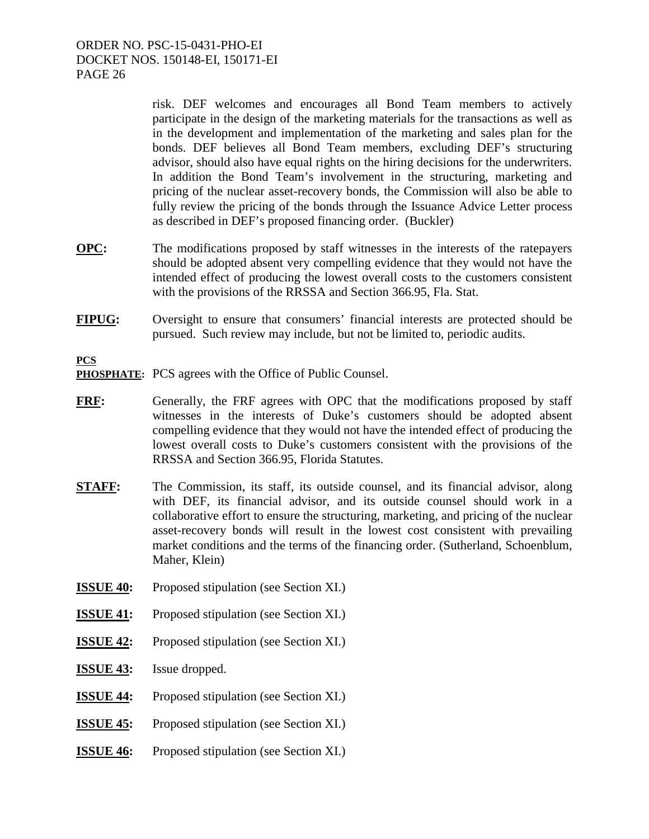> risk. DEF welcomes and encourages all Bond Team members to actively participate in the design of the marketing materials for the transactions as well as in the development and implementation of the marketing and sales plan for the bonds. DEF believes all Bond Team members, excluding DEF's structuring advisor, should also have equal rights on the hiring decisions for the underwriters. In addition the Bond Team's involvement in the structuring, marketing and pricing of the nuclear asset-recovery bonds, the Commission will also be able to fully review the pricing of the bonds through the Issuance Advice Letter process as described in DEF's proposed financing order. (Buckler)

- **OPC:** The modifications proposed by staff witnesses in the interests of the ratepayers should be adopted absent very compelling evidence that they would not have the intended effect of producing the lowest overall costs to the customers consistent with the provisions of the RRSSA and Section 366.95, Fla. Stat.
- **FIPUG:** Oversight to ensure that consumers' financial interests are protected should be pursued. Such review may include, but not be limited to, periodic audits.

**PCS PHOSPHATE:** PCS agrees with the Office of Public Counsel.

- **FRF:** Generally, the FRF agrees with OPC that the modifications proposed by staff witnesses in the interests of Duke's customers should be adopted absent compelling evidence that they would not have the intended effect of producing the lowest overall costs to Duke's customers consistent with the provisions of the RRSSA and Section 366.95, Florida Statutes.
- **STAFF:** The Commission, its staff, its outside counsel, and its financial advisor, along with DEF, its financial advisor, and its outside counsel should work in a collaborative effort to ensure the structuring, marketing, and pricing of the nuclear asset-recovery bonds will result in the lowest cost consistent with prevailing market conditions and the terms of the financing order. (Sutherland, Schoenblum, Maher, Klein)
- **ISSUE 40:** Proposed stipulation (see Section XI.)
- **ISSUE 41:** Proposed stipulation (see Section XI.)
- **ISSUE 42:** Proposed stipulation (see Section XI.)
- **ISSUE 43:** Issue dropped.
- **ISSUE 44:** Proposed stipulation (see Section XI.)
- **ISSUE 45:** Proposed stipulation (see Section XI.)
- **ISSUE 46:** Proposed stipulation (see Section XI.)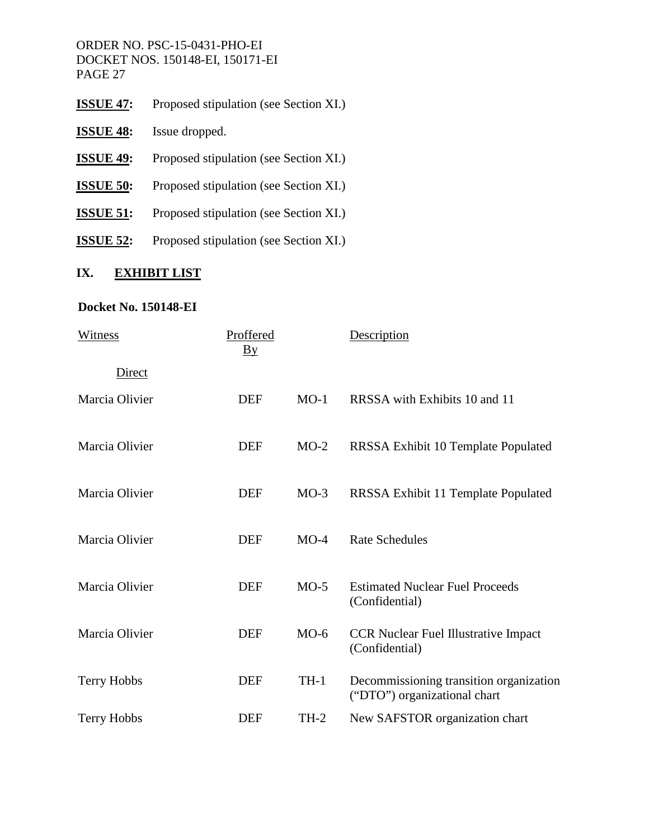- **ISSUE 47:** Proposed stipulation (see Section XI.)
- **ISSUE 48:** Issue dropped.
- **ISSUE 49:** Proposed stipulation (see Section XI.)
- **ISSUE 50:** Proposed stipulation (see Section XI.)
- **ISSUE 51:** Proposed stipulation (see Section XI.)
- **ISSUE 52:** Proposed stipulation (see Section XI.)

# **IX. EXHIBIT LIST**

# **Docket No. 150148-EI**

| Witness            | Proffered<br>$\overline{\text{By}}$ |        | Description                                                             |
|--------------------|-------------------------------------|--------|-------------------------------------------------------------------------|
| <b>Direct</b>      |                                     |        |                                                                         |
| Marcia Olivier     | <b>DEF</b>                          | $MO-1$ | RRSSA with Exhibits 10 and 11                                           |
| Marcia Olivier     | <b>DEF</b>                          | $MO-2$ | RRSSA Exhibit 10 Template Populated                                     |
| Marcia Olivier     | <b>DEF</b>                          | $MO-3$ | RRSSA Exhibit 11 Template Populated                                     |
| Marcia Olivier     | <b>DEF</b>                          | $MO-4$ | <b>Rate Schedules</b>                                                   |
| Marcia Olivier     | <b>DEF</b>                          | $MO-5$ | <b>Estimated Nuclear Fuel Proceeds</b><br>(Confidential)                |
| Marcia Olivier     | <b>DEF</b>                          | $MO-6$ | <b>CCR Nuclear Fuel Illustrative Impact</b><br>(Confidential)           |
| <b>Terry Hobbs</b> | <b>DEF</b>                          | $TH-1$ | Decommissioning transition organization<br>("DTO") organizational chart |
| <b>Terry Hobbs</b> | <b>DEF</b>                          | $TH-2$ | New SAFSTOR organization chart                                          |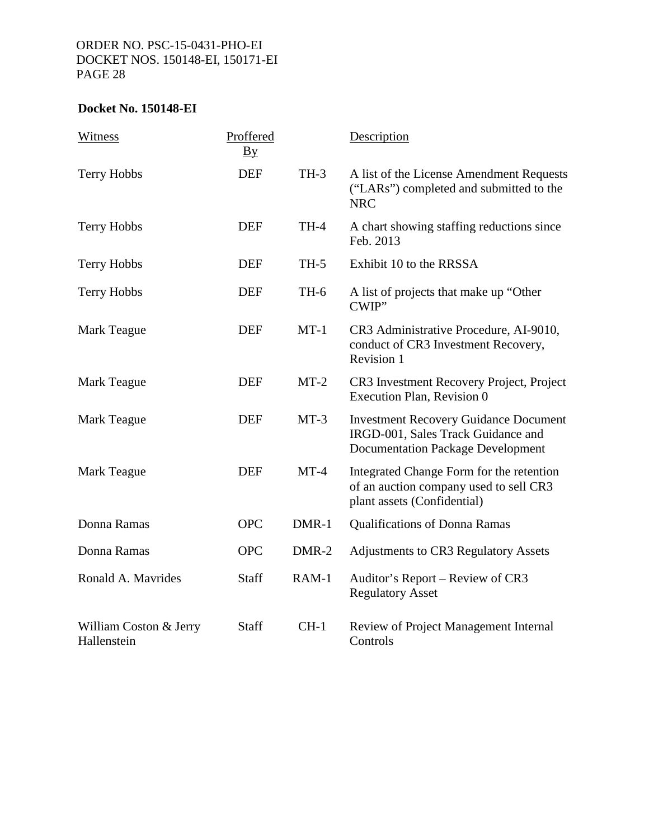# **Docket No. 150148-EI**

| Witness                               | Proffered<br>$\underline{B}y$ |         | Description                                                                                                                    |
|---------------------------------------|-------------------------------|---------|--------------------------------------------------------------------------------------------------------------------------------|
| Terry Hobbs                           | <b>DEF</b>                    | $TH-3$  | A list of the License Amendment Requests<br>("LARs") completed and submitted to the<br><b>NRC</b>                              |
| Terry Hobbs                           | <b>DEF</b>                    | TH-4    | A chart showing staffing reductions since<br>Feb. 2013                                                                         |
| Terry Hobbs                           | <b>DEF</b>                    | $TH-5$  | Exhibit 10 to the RRSSA                                                                                                        |
| Terry Hobbs                           | <b>DEF</b>                    | TH-6    | A list of projects that make up "Other<br>CWIP"                                                                                |
| <b>Mark Teague</b>                    | <b>DEF</b>                    | $MT-1$  | CR3 Administrative Procedure, AI-9010,<br>conduct of CR3 Investment Recovery,<br>Revision 1                                    |
| Mark Teague                           | <b>DEF</b>                    | $MT-2$  | CR3 Investment Recovery Project, Project<br>Execution Plan, Revision 0                                                         |
| <b>Mark Teague</b>                    | <b>DEF</b>                    | $MT-3$  | <b>Investment Recovery Guidance Document</b><br>IRGD-001, Sales Track Guidance and<br><b>Documentation Package Development</b> |
| <b>Mark Teague</b>                    | <b>DEF</b>                    | $MT-4$  | Integrated Change Form for the retention<br>of an auction company used to sell CR3<br>plant assets (Confidential)              |
| Donna Ramas                           | <b>OPC</b>                    | DMR-1   | <b>Qualifications of Donna Ramas</b>                                                                                           |
| Donna Ramas                           | <b>OPC</b>                    | DMR-2   | <b>Adjustments to CR3 Regulatory Assets</b>                                                                                    |
| Ronald A. Mavrides                    | Staff                         | $RAM-1$ | Auditor's Report – Review of CR3<br><b>Regulatory Asset</b>                                                                    |
| William Coston & Jerry<br>Hallenstein | Staff                         | $CH-1$  | Review of Project Management Internal<br>Controls                                                                              |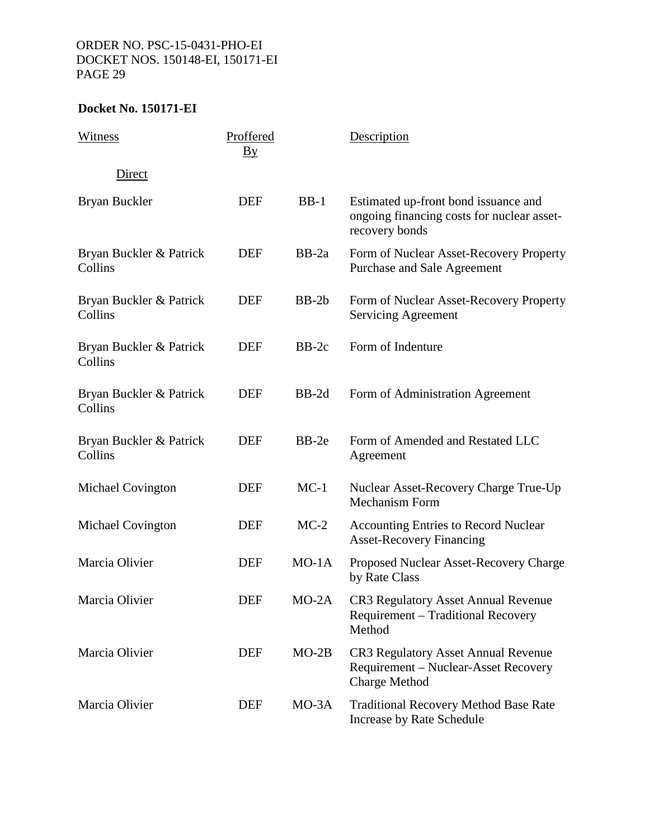| Witness                            | Proffered<br>$\underline{By}$ |         | Description                                                                                          |
|------------------------------------|-------------------------------|---------|------------------------------------------------------------------------------------------------------|
| Direct                             |                               |         |                                                                                                      |
| Bryan Buckler                      | <b>DEF</b>                    | $BB-1$  | Estimated up-front bond issuance and<br>ongoing financing costs for nuclear asset-<br>recovery bonds |
| Bryan Buckler & Patrick<br>Collins | <b>DEF</b>                    | $BB-2a$ | Form of Nuclear Asset-Recovery Property<br>Purchase and Sale Agreement                               |
| Bryan Buckler & Patrick<br>Collins | <b>DEF</b>                    | $BB-2b$ | Form of Nuclear Asset-Recovery Property<br><b>Servicing Agreement</b>                                |
| Bryan Buckler & Patrick<br>Collins | <b>DEF</b>                    | $BB-2c$ | Form of Indenture                                                                                    |
| Bryan Buckler & Patrick<br>Collins | <b>DEF</b>                    | $BB-2d$ | Form of Administration Agreement                                                                     |
| Bryan Buckler & Patrick<br>Collins | <b>DEF</b>                    | $BB-2e$ | Form of Amended and Restated LLC<br>Agreement                                                        |
| <b>Michael Covington</b>           | <b>DEF</b>                    | $MC-1$  | Nuclear Asset-Recovery Charge True-Up<br><b>Mechanism Form</b>                                       |
| Michael Covington                  | DEF                           | $MC-2$  | <b>Accounting Entries to Record Nuclear</b><br><b>Asset-Recovery Financing</b>                       |
| Marcia Olivier                     | <b>DEF</b>                    | $MO-1A$ | Proposed Nuclear Asset-Recovery Charge<br>by Rate Class                                              |
| Marcia Olivier                     | <b>DEF</b>                    | $MO-2A$ | CR3 Regulatory Asset Annual Revenue<br>Requirement – Traditional Recovery<br>Method                  |
| Marcia Olivier                     | <b>DEF</b>                    | $MO-2B$ | CR3 Regulatory Asset Annual Revenue<br>Requirement – Nuclear-Asset Recovery<br><b>Charge Method</b>  |
| Marcia Olivier                     | <b>DEF</b>                    | $MO-3A$ | <b>Traditional Recovery Method Base Rate</b><br>Increase by Rate Schedule                            |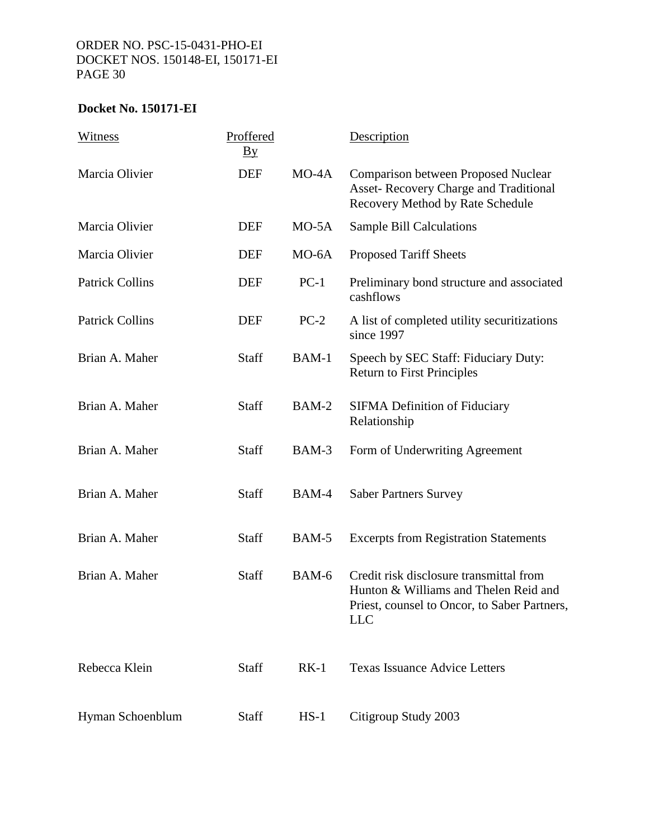| Witness                | Proffered<br>$\underline{B} \underline{v}$ |         | Description                                                                                                                                    |
|------------------------|--------------------------------------------|---------|------------------------------------------------------------------------------------------------------------------------------------------------|
| Marcia Olivier         | <b>DEF</b>                                 | $MO-4A$ | <b>Comparison between Proposed Nuclear</b><br>Asset-Recovery Charge and Traditional<br>Recovery Method by Rate Schedule                        |
| Marcia Olivier         | <b>DEF</b>                                 | $MO-5A$ | <b>Sample Bill Calculations</b>                                                                                                                |
| Marcia Olivier         | <b>DEF</b>                                 | $MO-6A$ | <b>Proposed Tariff Sheets</b>                                                                                                                  |
| <b>Patrick Collins</b> | <b>DEF</b>                                 | $PC-1$  | Preliminary bond structure and associated<br>cashflows                                                                                         |
| <b>Patrick Collins</b> | <b>DEF</b>                                 | $PC-2$  | A list of completed utility securitizations<br>since 1997                                                                                      |
| Brian A. Maher         | Staff                                      | BAM-1   | Speech by SEC Staff: Fiduciary Duty:<br><b>Return to First Principles</b>                                                                      |
| Brian A. Maher         | Staff                                      | BAM-2   | <b>SIFMA Definition of Fiduciary</b><br>Relationship                                                                                           |
| Brian A. Maher         | Staff                                      | BAM-3   | Form of Underwriting Agreement                                                                                                                 |
| Brian A. Maher         | Staff                                      | BAM-4   | <b>Saber Partners Survey</b>                                                                                                                   |
| Brian A. Maher         | <b>Staff</b>                               | BAM-5   | <b>Excerpts from Registration Statements</b>                                                                                                   |
| Brian A. Maher         | <b>Staff</b>                               | BAM-6   | Credit risk disclosure transmittal from<br>Hunton & Williams and Thelen Reid and<br>Priest, counsel to Oncor, to Saber Partners,<br><b>LLC</b> |
| Rebecca Klein          | Staff                                      | $RK-1$  | <b>Texas Issuance Advice Letters</b>                                                                                                           |
| Hyman Schoenblum       | Staff                                      | $HS-1$  | Citigroup Study 2003                                                                                                                           |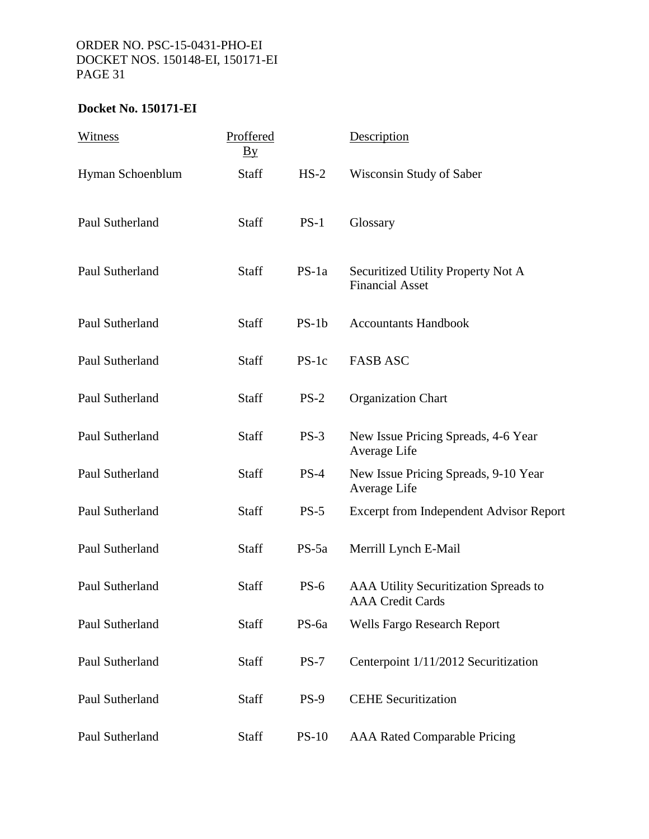| Witness          | Proffered<br>$\mathbf{B}\mathbf{y}$ |             | Description                                                      |
|------------------|-------------------------------------|-------------|------------------------------------------------------------------|
| Hyman Schoenblum | <b>Staff</b>                        | $HS-2$      | Wisconsin Study of Saber                                         |
| Paul Sutherland  | Staff                               | $PS-1$      | Glossary                                                         |
| Paul Sutherland  | Staff                               | $PS-1a$     | Securitized Utility Property Not A<br><b>Financial Asset</b>     |
| Paul Sutherland  | Staff                               | $PS-1b$     | <b>Accountants Handbook</b>                                      |
| Paul Sutherland  | Staff                               | $PS-1c$     | <b>FASB ASC</b>                                                  |
| Paul Sutherland  | Staff                               | $PS-2$      | <b>Organization Chart</b>                                        |
| Paul Sutherland  | Staff                               | $PS-3$      | New Issue Pricing Spreads, 4-6 Year<br>Average Life              |
| Paul Sutherland  | Staff                               | $PS-4$      | New Issue Pricing Spreads, 9-10 Year<br>Average Life             |
| Paul Sutherland  | <b>Staff</b>                        | $PS-5$      | Excerpt from Independent Advisor Report                          |
| Paul Sutherland  | <b>Staff</b>                        | $PS-5a$     | Merrill Lynch E-Mail                                             |
| Paul Sutherland  | Staff                               | $PS-6$      | AAA Utility Securitization Spreads to<br><b>AAA</b> Credit Cards |
| Paul Sutherland  | Staff                               | PS-6a       | <b>Wells Fargo Research Report</b>                               |
| Paul Sutherland  | Staff                               | $PS-7$      | Centerpoint 1/11/2012 Securitization                             |
| Paul Sutherland  | Staff                               | <b>PS-9</b> | <b>CEHE Securitization</b>                                       |
| Paul Sutherland  | Staff                               | $PS-10$     | <b>AAA Rated Comparable Pricing</b>                              |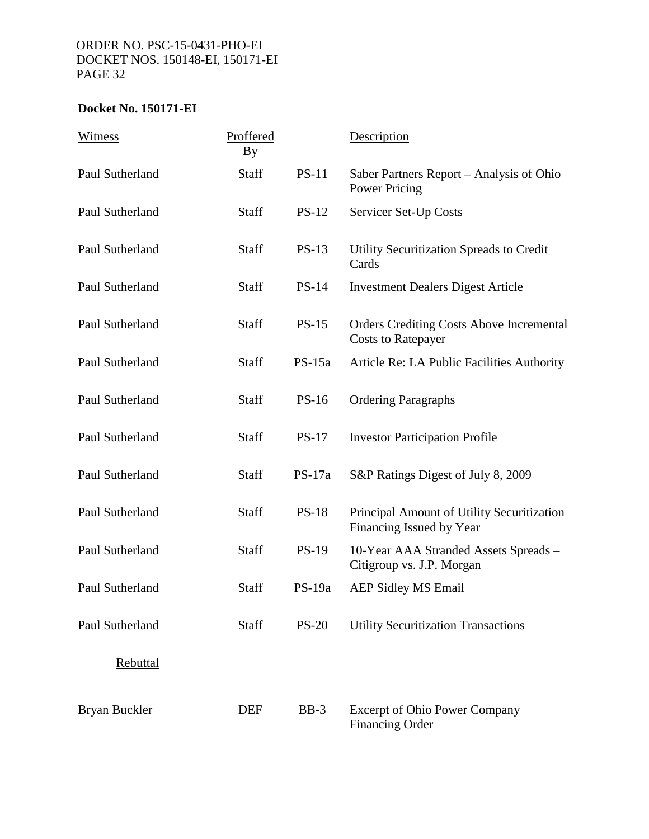| Witness         | Proffered<br>$\underline{By}$ |              | Description                                                                  |
|-----------------|-------------------------------|--------------|------------------------------------------------------------------------------|
| Paul Sutherland | <b>Staff</b>                  | $PS-11$      | Saber Partners Report – Analysis of Ohio<br>Power Pricing                    |
| Paul Sutherland | <b>Staff</b>                  | $PS-12$      | Servicer Set-Up Costs                                                        |
| Paul Sutherland | Staff                         | $PS-13$      | Utility Securitization Spreads to Credit<br>Cards                            |
| Paul Sutherland | <b>Staff</b>                  | <b>PS-14</b> | <b>Investment Dealers Digest Article</b>                                     |
| Paul Sutherland | <b>Staff</b>                  | $PS-15$      | <b>Orders Crediting Costs Above Incremental</b><br><b>Costs to Ratepayer</b> |
| Paul Sutherland | <b>Staff</b>                  | $PS-15a$     | Article Re: LA Public Facilities Authority                                   |
| Paul Sutherland | Staff                         | $PS-16$      | <b>Ordering Paragraphs</b>                                                   |
| Paul Sutherland | Staff                         | $PS-17$      | <b>Investor Participation Profile</b>                                        |
| Paul Sutherland | Staff                         | $PS-17a$     | S&P Ratings Digest of July 8, 2009                                           |
| Paul Sutherland | Staff                         | <b>PS-18</b> | Principal Amount of Utility Securitization<br>Financing Issued by Year       |
| Paul Sutherland | <b>Staff</b>                  | $PS-19$      | 10-Year AAA Stranded Assets Spreads -<br>Citigroup vs. J.P. Morgan           |
| Paul Sutherland | Staff                         | $PS-19a$     | <b>AEP Sidley MS Email</b>                                                   |
| Paul Sutherland | Staff                         | $PS-20$      | <b>Utility Securitization Transactions</b>                                   |
| <b>Rebuttal</b> |                               |              |                                                                              |
| Bryan Buckler   | <b>DEF</b>                    | $BB-3$       | <b>Excerpt of Ohio Power Company</b><br><b>Financing Order</b>               |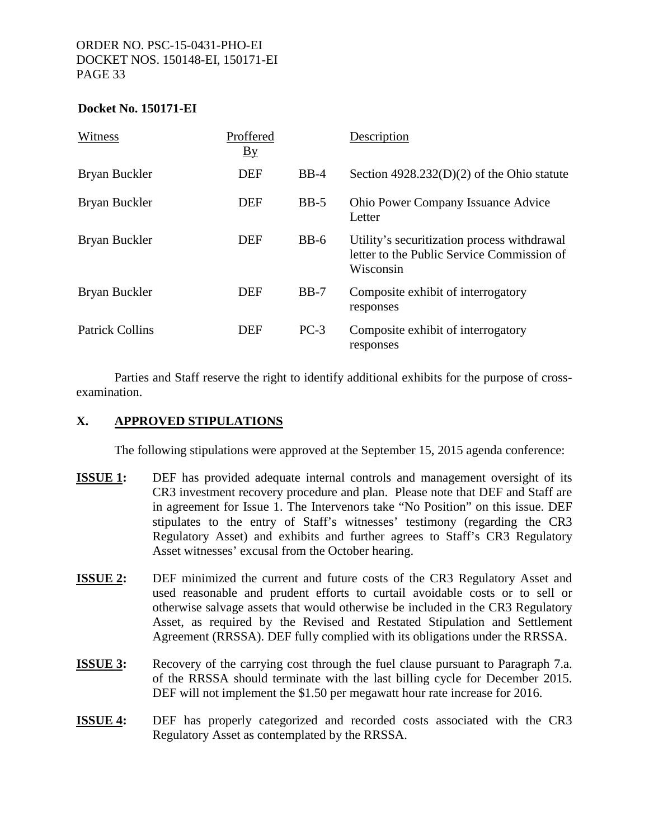#### **Docket No. 150171-EI**

| Witness                | Proffered<br>$\underline{By}$ |        | Description                                                                                            |
|------------------------|-------------------------------|--------|--------------------------------------------------------------------------------------------------------|
| Bryan Buckler          | <b>DEF</b>                    | $BB-4$ | Section $4928.232(D)(2)$ of the Ohio statute                                                           |
| Bryan Buckler          | <b>DEF</b>                    | $BB-5$ | <b>Ohio Power Company Issuance Advice</b><br>Letter                                                    |
| Bryan Buckler          | <b>DEF</b>                    | $BB-6$ | Utility's securitization process withdrawal<br>letter to the Public Service Commission of<br>Wisconsin |
| Bryan Buckler          | <b>DEF</b>                    | $BB-7$ | Composite exhibit of interrogatory<br>responses                                                        |
| <b>Patrick Collins</b> | <b>DEF</b>                    | $PC-3$ | Composite exhibit of interrogatory<br>responses                                                        |

 Parties and Staff reserve the right to identify additional exhibits for the purpose of crossexamination.

#### **X. APPROVED STIPULATIONS**

The following stipulations were approved at the September 15, 2015 agenda conference:

- **ISSUE 1:** DEF has provided adequate internal controls and management oversight of its CR3 investment recovery procedure and plan. Please note that DEF and Staff are in agreement for Issue 1. The Intervenors take "No Position" on this issue. DEF stipulates to the entry of Staff's witnesses' testimony (regarding the CR3 Regulatory Asset) and exhibits and further agrees to Staff's CR3 Regulatory Asset witnesses' excusal from the October hearing.
- **ISSUE 2:** DEF minimized the current and future costs of the CR3 Regulatory Asset and used reasonable and prudent efforts to curtail avoidable costs or to sell or otherwise salvage assets that would otherwise be included in the CR3 Regulatory Asset, as required by the Revised and Restated Stipulation and Settlement Agreement (RRSSA). DEF fully complied with its obligations under the RRSSA.
- **ISSUE 3:** Recovery of the carrying cost through the fuel clause pursuant to Paragraph 7.a. of the RRSSA should terminate with the last billing cycle for December 2015. DEF will not implement the \$1.50 per megawatt hour rate increase for 2016.
- **ISSUE 4:** DEF has properly categorized and recorded costs associated with the CR3 Regulatory Asset as contemplated by the RRSSA.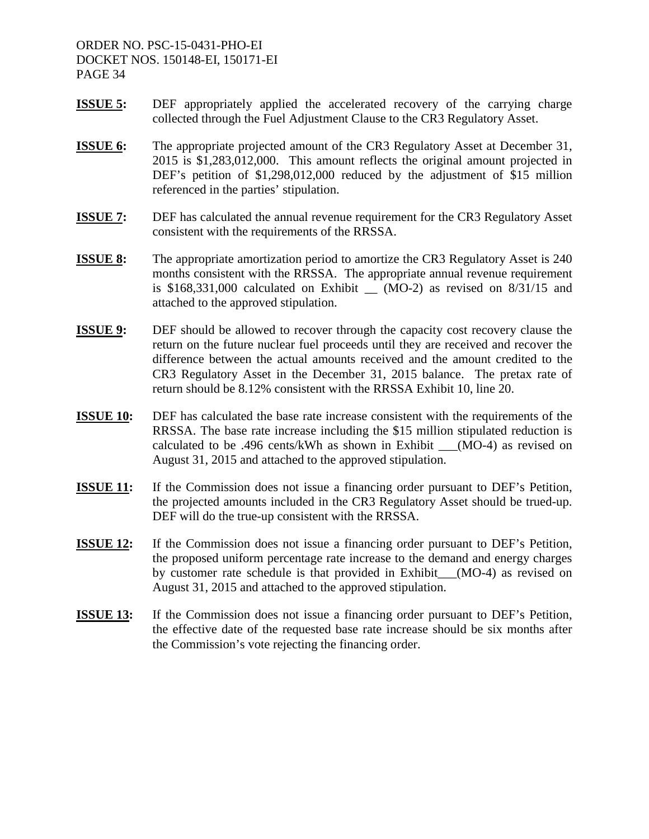- **ISSUE 5:** DEF appropriately applied the accelerated recovery of the carrying charge collected through the Fuel Adjustment Clause to the CR3 Regulatory Asset.
- **ISSUE 6:** The appropriate projected amount of the CR3 Regulatory Asset at December 31, 2015 is \$1,283,012,000. This amount reflects the original amount projected in DEF's petition of \$1,298,012,000 reduced by the adjustment of \$15 million referenced in the parties' stipulation.
- **ISSUE 7:** DEF has calculated the annual revenue requirement for the CR3 Regulatory Asset consistent with the requirements of the RRSSA.
- **ISSUE 8:** The appropriate amortization period to amortize the CR3 Regulatory Asset is 240 months consistent with the RRSSA. The appropriate annual revenue requirement is  $$168,331,000$  calculated on Exhibit  $_{\odot}$  (MO-2) as revised on 8/31/15 and attached to the approved stipulation.
- **ISSUE 9:** DEF should be allowed to recover through the capacity cost recovery clause the return on the future nuclear fuel proceeds until they are received and recover the difference between the actual amounts received and the amount credited to the CR3 Regulatory Asset in the December 31, 2015 balance. The pretax rate of return should be 8.12% consistent with the RRSSA Exhibit 10, line 20.
- **ISSUE 10:** DEF has calculated the base rate increase consistent with the requirements of the RRSSA. The base rate increase including the \$15 million stipulated reduction is calculated to be .496 cents/kWh as shown in Exhibit  $\qquad (MO-4)$  as revised on August 31, 2015 and attached to the approved stipulation.
- **ISSUE 11:** If the Commission does not issue a financing order pursuant to DEF's Petition, the projected amounts included in the CR3 Regulatory Asset should be trued-up. DEF will do the true-up consistent with the RRSSA.
- **ISSUE 12:** If the Commission does not issue a financing order pursuant to DEF's Petition, the proposed uniform percentage rate increase to the demand and energy charges by customer rate schedule is that provided in Exhibit (MO-4) as revised on August 31, 2015 and attached to the approved stipulation.
- **ISSUE 13:** If the Commission does not issue a financing order pursuant to DEF's Petition, the effective date of the requested base rate increase should be six months after the Commission's vote rejecting the financing order.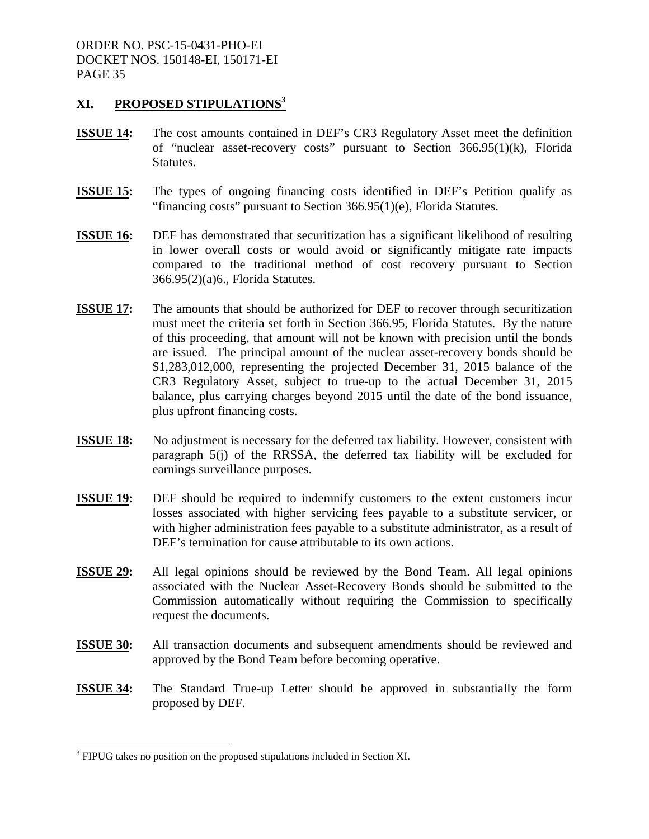#### **XI. PROPOSED STIPULATIONS3**

- **ISSUE 14:** The cost amounts contained in DEF's CR3 Regulatory Asset meet the definition of "nuclear asset-recovery costs" pursuant to Section 366.95(1)(k), Florida Statutes.
- **ISSUE 15:** The types of ongoing financing costs identified in DEF's Petition qualify as "financing costs" pursuant to Section 366.95(1)(e), Florida Statutes.
- **ISSUE 16:** DEF has demonstrated that securitization has a significant likelihood of resulting in lower overall costs or would avoid or significantly mitigate rate impacts compared to the traditional method of cost recovery pursuant to Section 366.95(2)(a)6., Florida Statutes.
- **ISSUE 17:** The amounts that should be authorized for DEF to recover through securitization must meet the criteria set forth in Section 366.95, Florida Statutes. By the nature of this proceeding, that amount will not be known with precision until the bonds are issued. The principal amount of the nuclear asset-recovery bonds should be \$1,283,012,000, representing the projected December 31, 2015 balance of the CR3 Regulatory Asset, subject to true-up to the actual December 31, 2015 balance, plus carrying charges beyond 2015 until the date of the bond issuance, plus upfront financing costs.
- **ISSUE 18:** No adjustment is necessary for the deferred tax liability. However, consistent with paragraph 5(j) of the RRSSA, the deferred tax liability will be excluded for earnings surveillance purposes.
- **ISSUE 19:** DEF should be required to indemnify customers to the extent customers incur losses associated with higher servicing fees payable to a substitute servicer, or with higher administration fees payable to a substitute administrator, as a result of DEF's termination for cause attributable to its own actions.
- **ISSUE 29:** All legal opinions should be reviewed by the Bond Team. All legal opinions associated with the Nuclear Asset-Recovery Bonds should be submitted to the Commission automatically without requiring the Commission to specifically request the documents.
- **ISSUE 30:** All transaction documents and subsequent amendments should be reviewed and approved by the Bond Team before becoming operative.
- **ISSUE 34:** The Standard True-up Letter should be approved in substantially the form proposed by DEF.

 $\overline{a}$ 

 $3$  FIPUG takes no position on the proposed stipulations included in Section XI.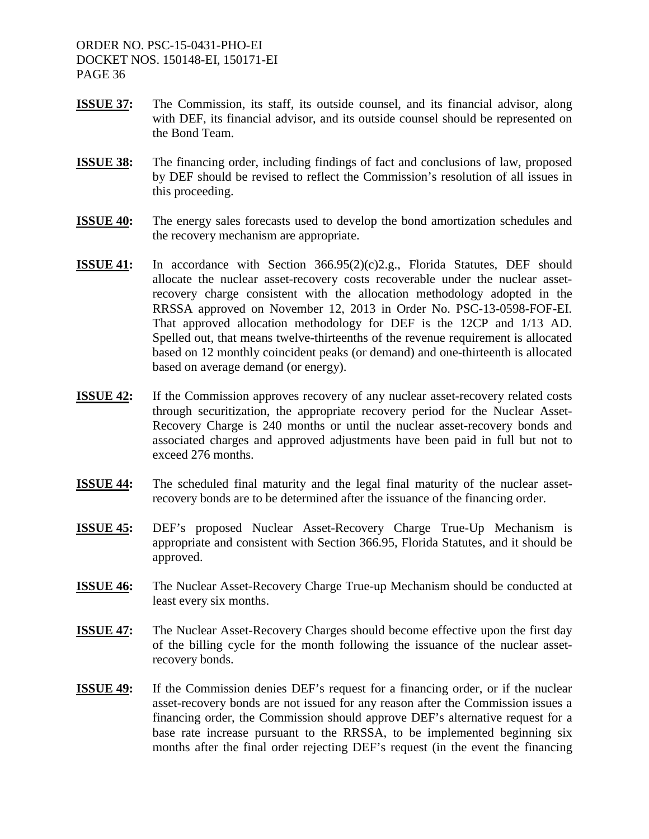- **ISSUE 37:** The Commission, its staff, its outside counsel, and its financial advisor, along with DEF, its financial advisor, and its outside counsel should be represented on the Bond Team.
- **ISSUE 38:** The financing order, including findings of fact and conclusions of law, proposed by DEF should be revised to reflect the Commission's resolution of all issues in this proceeding.
- **ISSUE 40:** The energy sales forecasts used to develop the bond amortization schedules and the recovery mechanism are appropriate.
- **ISSUE 41:** In accordance with Section 366.95(2)(c)2.g., Florida Statutes, DEF should allocate the nuclear asset-recovery costs recoverable under the nuclear assetrecovery charge consistent with the allocation methodology adopted in the RRSSA approved on November 12, 2013 in Order No. PSC-13-0598-FOF-EI. That approved allocation methodology for DEF is the 12CP and 1/13 AD. Spelled out, that means twelve-thirteenths of the revenue requirement is allocated based on 12 monthly coincident peaks (or demand) and one-thirteenth is allocated based on average demand (or energy).
- **ISSUE 42:** If the Commission approves recovery of any nuclear asset-recovery related costs through securitization, the appropriate recovery period for the Nuclear Asset-Recovery Charge is 240 months or until the nuclear asset-recovery bonds and associated charges and approved adjustments have been paid in full but not to exceed 276 months.
- **ISSUE 44:** The scheduled final maturity and the legal final maturity of the nuclear assetrecovery bonds are to be determined after the issuance of the financing order.
- **ISSUE 45:** DEF's proposed Nuclear Asset-Recovery Charge True-Up Mechanism is appropriate and consistent with Section 366.95, Florida Statutes, and it should be approved.
- **ISSUE 46:** The Nuclear Asset-Recovery Charge True-up Mechanism should be conducted at least every six months.
- **ISSUE 47:** The Nuclear Asset-Recovery Charges should become effective upon the first day of the billing cycle for the month following the issuance of the nuclear assetrecovery bonds.
- **ISSUE 49:** If the Commission denies DEF's request for a financing order, or if the nuclear asset-recovery bonds are not issued for any reason after the Commission issues a financing order, the Commission should approve DEF's alternative request for a base rate increase pursuant to the RRSSA, to be implemented beginning six months after the final order rejecting DEF's request (in the event the financing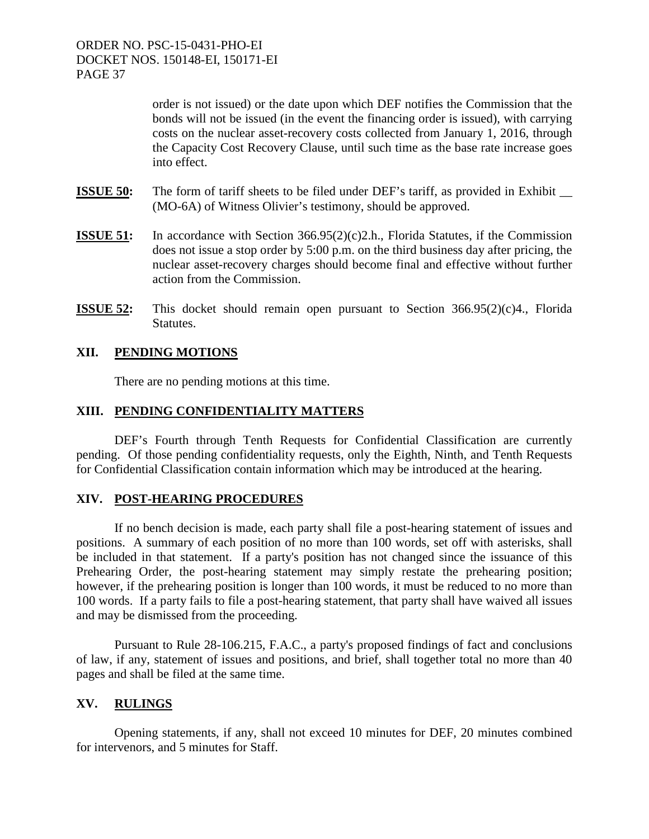> order is not issued) or the date upon which DEF notifies the Commission that the bonds will not be issued (in the event the financing order is issued), with carrying costs on the nuclear asset-recovery costs collected from January 1, 2016, through the Capacity Cost Recovery Clause, until such time as the base rate increase goes into effect.

- **ISSUE 50:** The form of tariff sheets to be filed under DEF's tariff, as provided in Exhibit  $\qquad$ (MO-6A) of Witness Olivier's testimony, should be approved.
- **ISSUE 51:** In accordance with Section 366.95(2)(c)2.h., Florida Statutes, if the Commission does not issue a stop order by 5:00 p.m. on the third business day after pricing, the nuclear asset-recovery charges should become final and effective without further action from the Commission.
- **ISSUE 52:** This docket should remain open pursuant to Section 366.95(2)(c)4., Florida Statutes.

#### **XII. PENDING MOTIONS**

There are no pending motions at this time.

#### **XIII. PENDING CONFIDENTIALITY MATTERS**

DEF's Fourth through Tenth Requests for Confidential Classification are currently pending. Of those pending confidentiality requests, only the Eighth, Ninth, and Tenth Requests for Confidential Classification contain information which may be introduced at the hearing.

#### **XIV. POST-HEARING PROCEDURES**

If no bench decision is made, each party shall file a post-hearing statement of issues and positions. A summary of each position of no more than 100 words, set off with asterisks, shall be included in that statement. If a party's position has not changed since the issuance of this Prehearing Order, the post-hearing statement may simply restate the prehearing position; however, if the prehearing position is longer than 100 words, it must be reduced to no more than 100 words. If a party fails to file a post-hearing statement, that party shall have waived all issues and may be dismissed from the proceeding.

Pursuant to Rule 28-106.215, F.A.C., a party's proposed findings of fact and conclusions of law, if any, statement of issues and positions, and brief, shall together total no more than 40 pages and shall be filed at the same time.

#### **XV. RULINGS**

Opening statements, if any, shall not exceed 10 minutes for DEF, 20 minutes combined for intervenors, and 5 minutes for Staff.